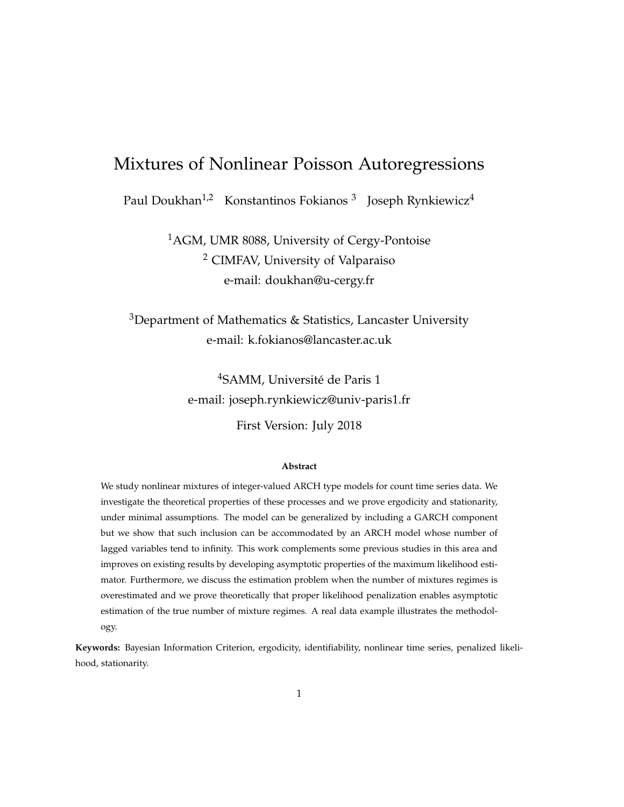# Mixtures of Nonlinear Poisson Autoregressions

Paul Doukhan $^{1,2}$  Konstantinos Fokianos  $^3$  Joseph Rynkiewicz $^4$ 

<sup>1</sup>AGM, UMR 8088, University of Cergy-Pontoise <sup>2</sup> CIMFAV, University of Valparaiso e-mail: doukhan@u-cergy.fr

 $3$ Department of Mathematics & Statistics, Lancaster University e-mail: k.fokianos@lancaster.ac.uk

> <sup>4</sup>SAMM, Université de Paris 1 e-mail: joseph.rynkiewicz@univ-paris1.fr

> > First Version: July 2018

#### **Abstract**

We study nonlinear mixtures of integer-valued ARCH type models for count time series data. We investigate the theoretical properties of these processes and we prove ergodicity and stationarity, under minimal assumptions. The model can be generalized by including a GARCH component but we show that such inclusion can be accommodated by an ARCH model whose number of lagged variables tend to infinity. This work complements some previous studies in this area and improves on existing results by developing asymptotic properties of the maximum likelihood estimator. Furthermore, we discuss the estimation problem when the number of mixtures regimes is overestimated and we prove theoretically that proper likelihood penalization enables asymptotic estimation of the true number of mixture regimes. A real data example illustrates the methodology.

**Keywords:** Bayesian Information Criterion, ergodicity, identifiability, nonlinear time series, penalized likelihood, stationarity.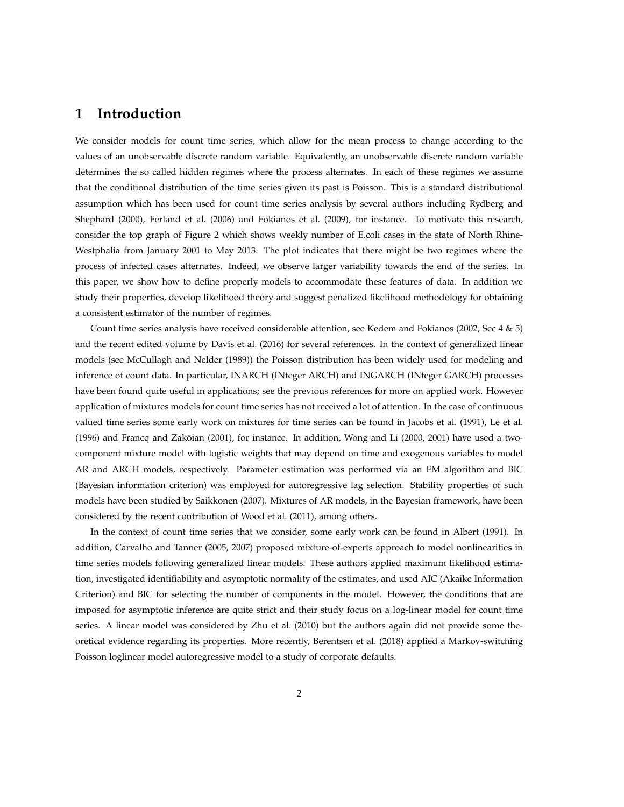### **1 Introduction**

We consider models for count time series, which allow for the mean process to change according to the values of an unobservable discrete random variable. Equivalently, an unobservable discrete random variable determines the so called hidden regimes where the process alternates. In each of these regimes we assume that the conditional distribution of the time series given its past is Poisson. This is a standard distributional assumption which has been used for count time series analysis by several authors including Rydberg and Shephard (2000), Ferland et al. (2006) and Fokianos et al. (2009), for instance. To motivate this research, consider the top graph of Figure 2 which shows weekly number of E.coli cases in the state of North Rhine-Westphalia from January 2001 to May 2013. The plot indicates that there might be two regimes where the process of infected cases alternates. Indeed, we observe larger variability towards the end of the series. In this paper, we show how to define properly models to accommodate these features of data. In addition we study their properties, develop likelihood theory and suggest penalized likelihood methodology for obtaining a consistent estimator of the number of regimes.

Count time series analysis have received considerable attention, see Kedem and Fokianos (2002, Sec 4 & 5) and the recent edited volume by Davis et al. (2016) for several references. In the context of generalized linear models (see McCullagh and Nelder (1989)) the Poisson distribution has been widely used for modeling and inference of count data. In particular, INARCH (INteger ARCH) and INGARCH (INteger GARCH) processes have been found quite useful in applications; see the previous references for more on applied work. However application of mixtures models for count time series has not received a lot of attention. In the case of continuous valued time series some early work on mixtures for time series can be found in Jacobs et al. (1991), Le et al. (1996) and Francq and Zaköian (2001), for instance. In addition, Wong and Li (2000, 2001) have used a twocomponent mixture model with logistic weights that may depend on time and exogenous variables to model AR and ARCH models, respectively. Parameter estimation was performed via an EM algorithm and BIC (Bayesian information criterion) was employed for autoregressive lag selection. Stability properties of such models have been studied by Saikkonen (2007). Mixtures of AR models, in the Bayesian framework, have been considered by the recent contribution of Wood et al. (2011), among others.

In the context of count time series that we consider, some early work can be found in Albert (1991). In addition, Carvalho and Tanner (2005, 2007) proposed mixture-of-experts approach to model nonlinearities in time series models following generalized linear models. These authors applied maximum likelihood estimation, investigated identifiability and asymptotic normality of the estimates, and used AIC (Akaike Information Criterion) and BIC for selecting the number of components in the model. However, the conditions that are imposed for asymptotic inference are quite strict and their study focus on a log-linear model for count time series. A linear model was considered by Zhu et al. (2010) but the authors again did not provide some theoretical evidence regarding its properties. More recently, Berentsen et al. (2018) applied a Markov-switching Poisson loglinear model autoregressive model to a study of corporate defaults.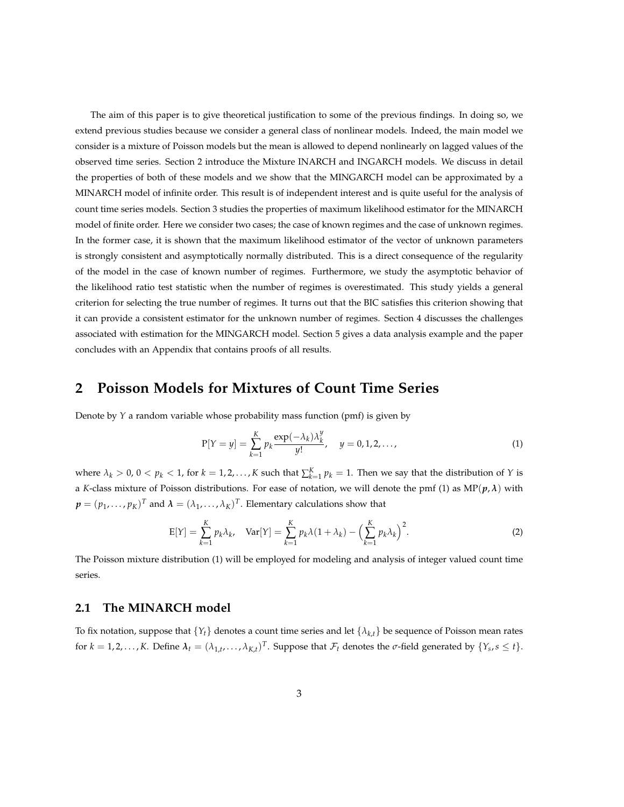The aim of this paper is to give theoretical justification to some of the previous findings. In doing so, we extend previous studies because we consider a general class of nonlinear models. Indeed, the main model we consider is a mixture of Poisson models but the mean is allowed to depend nonlinearly on lagged values of the observed time series. Section 2 introduce the Mixture INARCH and INGARCH models. We discuss in detail the properties of both of these models and we show that the MINGARCH model can be approximated by a MINARCH model of infinite order. This result is of independent interest and is quite useful for the analysis of count time series models. Section 3 studies the properties of maximum likelihood estimator for the MINARCH model of finite order. Here we consider two cases; the case of known regimes and the case of unknown regimes. In the former case, it is shown that the maximum likelihood estimator of the vector of unknown parameters is strongly consistent and asymptotically normally distributed. This is a direct consequence of the regularity of the model in the case of known number of regimes. Furthermore, we study the asymptotic behavior of the likelihood ratio test statistic when the number of regimes is overestimated. This study yields a general criterion for selecting the true number of regimes. It turns out that the BIC satisfies this criterion showing that it can provide a consistent estimator for the unknown number of regimes. Section 4 discusses the challenges associated with estimation for the MINGARCH model. Section 5 gives a data analysis example and the paper concludes with an Appendix that contains proofs of all results.

## **2 Poisson Models for Mixtures of Count Time Series**

Denote by *Y* a random variable whose probability mass function (pmf) is given by

$$
P[Y = y] = \sum_{k=1}^{K} p_k \frac{\exp(-\lambda_k) \lambda_k^y}{y!}, \quad y = 0, 1, 2, ..., \tag{1}
$$

where  $\lambda_k > 0$ ,  $0 < p_k < 1$ , for  $k = 1, 2, ..., K$  such that  $\sum_{k=1}^{K} p_k = 1$ . Then we say that the distribution of *Y* is a *K*-class mixture of Poisson distributions. For ease of notation, we will denote the pmf (1) as  $MP(p, \lambda)$  with  $\pmb{p}=(p_1,\ldots,p_K)^T$  and  $\pmb{\lambda}=(\lambda_1,\ldots,\lambda_K)^T.$  Elementary calculations show that

$$
E[Y] = \sum_{k=1}^{K} p_k \lambda_k, \quad Var[Y] = \sum_{k=1}^{K} p_k \lambda (1 + \lambda_k) - \left(\sum_{k=1}^{K} p_k \lambda_k\right)^2.
$$
 (2)

The Poisson mixture distribution (1) will be employed for modeling and analysis of integer valued count time series.

#### **2.1 The MINARCH model**

To fix notation, suppose that  $\{Y_t\}$  denotes a count time series and let  $\{\lambda_{k,t}\}$  be sequence of Poisson mean rates for  $k = 1, 2, ..., K$ . Define  $\lambda_t = (\lambda_{1,t}, ..., \lambda_{K,t})^T$ . Suppose that  $\mathcal{F}_t$  denotes the  $\sigma$ -field generated by  $\{Y_s, s \leq t\}$ .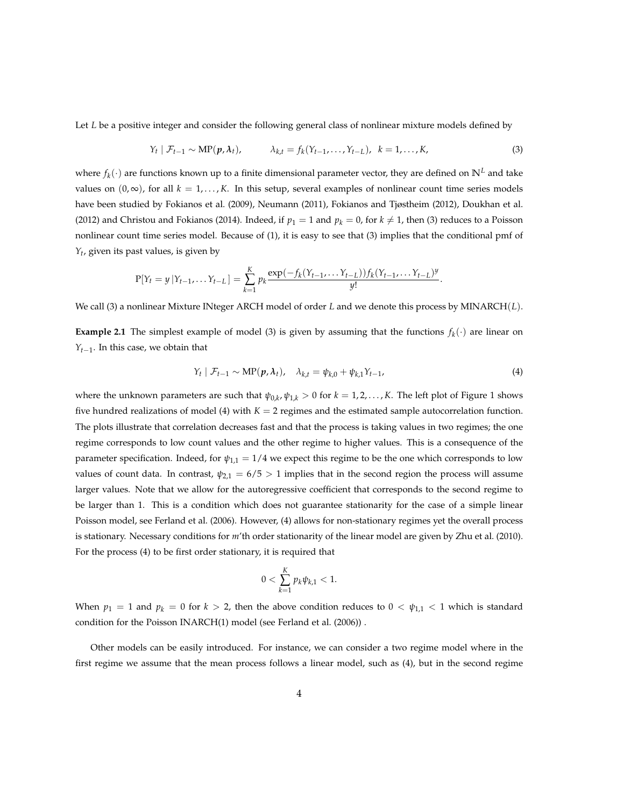Let *L* be a positive integer and consider the following general class of nonlinear mixture models defined by

$$
Y_t | \mathcal{F}_{t-1} \sim \text{MP}(p, \lambda_t), \qquad \lambda_{k,t} = f_k(Y_{t-1}, \dots, Y_{t-L}), \quad k = 1, \dots, K,
$$
 (3)

where  $f_k(\cdot)$  are functions known up to a finite dimensional parameter vector, they are defined on  $\mathbb{N}^L$  and take values on  $(0, \infty)$ , for all  $k = 1, \ldots, K$ . In this setup, several examples of nonlinear count time series models have been studied by Fokianos et al. (2009), Neumann (2011), Fokianos and Tjøstheim (2012), Doukhan et al. (2012) and Christou and Fokianos (2014). Indeed, if  $p_1 = 1$  and  $p_k = 0$ , for  $k \neq 1$ , then (3) reduces to a Poisson nonlinear count time series model. Because of (1), it is easy to see that (3) implies that the conditional pmf of *Yt* , given its past values, is given by

$$
P[Y_t = y | Y_{t-1}, \dots Y_{t-L}] = \sum_{k=1}^{K} p_k \frac{\exp(-f_k(Y_{t-1}, \dots Y_{t-L})) f_k(Y_{t-1}, \dots Y_{t-L})^y}{y!}.
$$

We call (3) a nonlinear Mixture INteger ARCH model of order *L* and we denote this process by MINARCH(*L*).

**Example 2.1** The simplest example of model (3) is given by assuming that the functions  $f_k(\cdot)$  are linear on *Y*<sub>*t*−1</sub>. In this case, we obtain that

$$
Y_t | \mathcal{F}_{t-1} \sim \text{MP}(p, \lambda_t), \quad \lambda_{k,t} = \psi_{k,0} + \psi_{k,1} Y_{t-1}, \tag{4}
$$

where the unknown parameters are such that  $\psi_{0,k}$ ,  $\psi_{1,k} > 0$  for  $k = 1, 2, \ldots, K$ . The left plot of Figure 1 shows five hundred realizations of model (4) with  $K = 2$  regimes and the estimated sample autocorrelation function. The plots illustrate that correlation decreases fast and that the process is taking values in two regimes; the one regime corresponds to low count values and the other regime to higher values. This is a consequence of the parameter specification. Indeed, for  $\psi_{1,1} = 1/4$  we expect this regime to be the one which corresponds to low values of count data. In contrast,  $\psi_{2,1} = 6/5 > 1$  implies that in the second region the process will assume larger values. Note that we allow for the autoregressive coefficient that corresponds to the second regime to be larger than 1. This is a condition which does not guarantee stationarity for the case of a simple linear Poisson model, see Ferland et al. (2006). However, (4) allows for non-stationary regimes yet the overall process is stationary. Necessary conditions for *m*'th order stationarity of the linear model are given by Zhu et al. (2010). For the process (4) to be first order stationary, it is required that

$$
0 < \sum_{k=1}^{K} p_k \psi_{k,1} < 1.
$$

When  $p_1 = 1$  and  $p_k = 0$  for  $k > 2$ , then the above condition reduces to  $0 < \psi_{1,1} < 1$  which is standard condition for the Poisson INARCH(1) model (see Ferland et al. (2006)) .

Other models can be easily introduced. For instance, we can consider a two regime model where in the first regime we assume that the mean process follows a linear model, such as (4), but in the second regime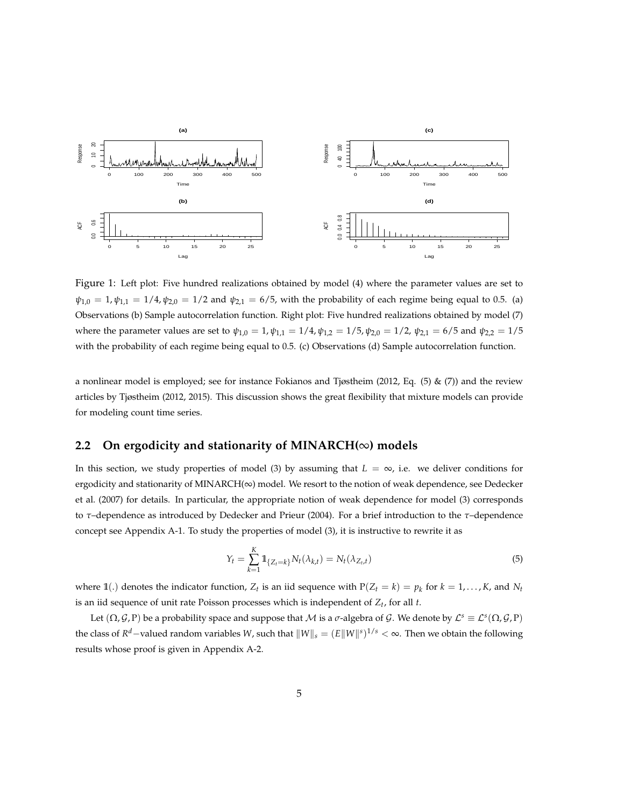

Figure 1: Left plot: Five hundred realizations obtained by model (4) where the parameter values are set to  $\psi_{1,0} = 1, \psi_{1,1} = 1/4, \psi_{2,0} = 1/2$  and  $\psi_{2,1} = 6/5$ , with the probability of each regime being equal to 0.5. (a) Observations (b) Sample autocorrelation function. Right plot: Five hundred realizations obtained by model (7) where the parameter values are set to  $\psi_{1,0} = 1$ ,  $\psi_{1,1} = 1/4$ ,  $\psi_{1,2} = 1/5$ ,  $\psi_{2,0} = 1/2$ ,  $\psi_{2,1} = 6/5$  and  $\psi_{2,2} = 1/5$ with the probability of each regime being equal to 0.5. (c) Observations (d) Sample autocorrelation function.

a nonlinear model is employed; see for instance Fokianos and Tjøstheim (2012, Eq. (5) & (7)) and the review articles by Tjøstheim (2012, 2015). This discussion shows the great flexibility that mixture models can provide for modeling count time series.

### **2.2 On ergodicity and stationarity of MINARCH(**∞**) models**

In this section, we study properties of model (3) by assuming that  $L = \infty$ , i.e. we deliver conditions for ergodicity and stationarity of MINARCH(∞) model. We resort to the notion of weak dependence, see Dedecker et al. (2007) for details. In particular, the appropriate notion of weak dependence for model (3) corresponds to *τ*–dependence as introduced by Dedecker and Prieur (2004). For a brief introduction to the *τ*–dependence concept see Appendix A-1. To study the properties of model (3), it is instructive to rewrite it as

$$
Y_t = \sum_{k=1}^{K} 1\!\!1_{\{Z_t = k\}} N_t(\lambda_{k,t}) = N_t(\lambda_{Z_t, t})
$$
\n(5)

where  $\mathbb{1}(.)$  denotes the indicator function,  $Z_t$  is an iid sequence with  $P(Z_t = k) = p_k$  for  $k = 1, ..., K$ , and  $N_t$ is an iid sequence of unit rate Poisson processes which is independent of *Zt* , for all *t*.

Let  $(\Omega, G, P)$  be a probability space and suppose that  $M$  is a  $\sigma$ -algebra of  $G$ . We denote by  $\mathcal{L}^s\equiv\mathcal{L}^s(\Omega, G, P)$ the class of  $R^d-$ valued random variables *W*, such that  $\|W\|_s=(E\|W\|^s)^{1/s}<\infty.$  Then we obtain the following results whose proof is given in Appendix A-2.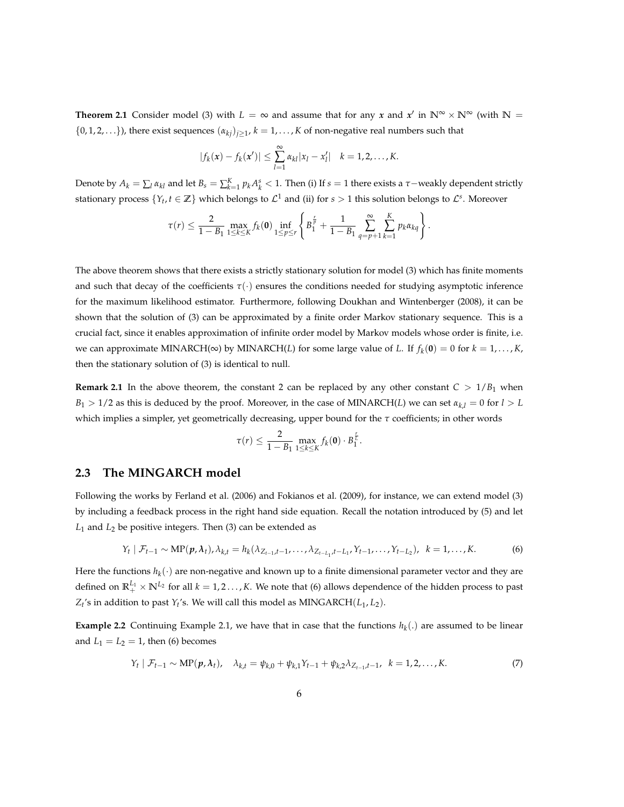**Theorem 2.1** Consider model (3) with  $L = \infty$  and assume that for any *x* and *x'* in  $\mathbb{N}^{\infty} \times \mathbb{N}^{\infty}$  (with  $\mathbb{N} =$  $\{0, 1, 2, \ldots\}$ ), there exist sequences  $(\alpha_{kj})_{j \geq 1}$ ,  $k = 1, \ldots, K$  of non-negative real numbers such that

$$
|f_k(x) - f_k(x')| \leq \sum_{l=1}^{\infty} \alpha_{kl} |x_l - x'_l| \quad k = 1, 2, ..., K.
$$

Denote by  $A_k = \sum_l \alpha_{kl}$  and let  $B_s = \sum_{k=1}^K p_k A_k^s < 1$ . Then (i) If  $s = 1$  there exists a  $\tau$ -weakly dependent strictly stationary process  $\{Y_t, t \in \mathbb{Z}\}$  which belongs to  $\mathcal{L}^1$  and (ii) for  $s > 1$  this solution belongs to  $\mathcal{L}^s$ . Moreover

$$
\tau(r) \leq \frac{2}{1-B_1} \max_{1 \leq k \leq K} f_k(\mathbf{0}) \inf_{1 \leq p \leq r} \left\{ B_1^{\frac{r}{p}} + \frac{1}{1-B_1} \sum_{q=p+1}^{\infty} \sum_{k=1}^{K} p_k \alpha_{kq} \right\}.
$$

The above theorem shows that there exists a strictly stationary solution for model (3) which has finite moments and such that decay of the coefficients *τ*(·) ensures the conditions needed for studying asymptotic inference for the maximum likelihood estimator. Furthermore, following Doukhan and Wintenberger (2008), it can be shown that the solution of (3) can be approximated by a finite order Markov stationary sequence. This is a crucial fact, since it enables approximation of infinite order model by Markov models whose order is finite, i.e. we can approximate MINARCH( $\infty$ ) by MINARCH(*L*) for some large value of *L*. If  $f_k(\mathbf{0}) = 0$  for  $k = 1, ..., K$ , then the stationary solution of (3) is identical to null.

**Remark 2.1** In the above theorem, the constant 2 can be replaced by any other constant  $C > 1/B<sub>1</sub>$  when  $B_1 > 1/2$  as this is deduced by the proof. Moreover, in the case of MINARCH(*L*) we can set  $\alpha_{k,l} = 0$  for  $l > L$ which implies a simpler, yet geometrically decreasing, upper bound for the *τ* coefficients; in other words

$$
\tau(r) \leq \frac{2}{1-B_1}\max_{1\leq k\leq K} f_k(\mathbf{0})\cdot B_1^{\frac{r}{L}}.
$$

#### **2.3 The MINGARCH model**

Following the works by Ferland et al. (2006) and Fokianos et al. (2009), for instance, we can extend model (3) by including a feedback process in the right hand side equation. Recall the notation introduced by (5) and let *L*<sup>1</sup> and *L*<sup>2</sup> be positive integers. Then (3) can be extended as

$$
Y_t | \mathcal{F}_{t-1} \sim \text{MP}(\boldsymbol{p}, \boldsymbol{\lambda}_t), \lambda_{k,t} = h_k(\lambda_{Z_{t-1},t-1}, \ldots, \lambda_{Z_{t-L_1},t-L_1}, Y_{t-1}, \ldots, Y_{t-L_2}), \ \ k = 1, \ldots, K. \tag{6}
$$

Here the functions  $h_k(\cdot)$  are non-negative and known up to a finite dimensional parameter vector and they are defined on  $\mathbb{R}^{L_1}_+ \times \mathbb{N}^{L_2}$  for all  $k = 1, 2, ..., K$ . We note that (6) allows dependence of the hidden process to past  $Z_t$ 's in addition to past  $Y_t$ 's. We will call this model as MINGARCH $(L_1, L_2)$ .

**Example 2.2** Continuing Example 2.1, we have that in case that the functions  $h_k(.)$  are assumed to be linear and  $L_1 = L_2 = 1$ , then (6) becomes

$$
Y_t | \mathcal{F}_{t-1} \sim \text{MP}(\boldsymbol{p}, \lambda_t), \quad \lambda_{k,t} = \psi_{k,0} + \psi_{k,1} Y_{t-1} + \psi_{k,2} \lambda_{Z_{t-1},t-1}, \quad k = 1,2,\ldots,K. \tag{7}
$$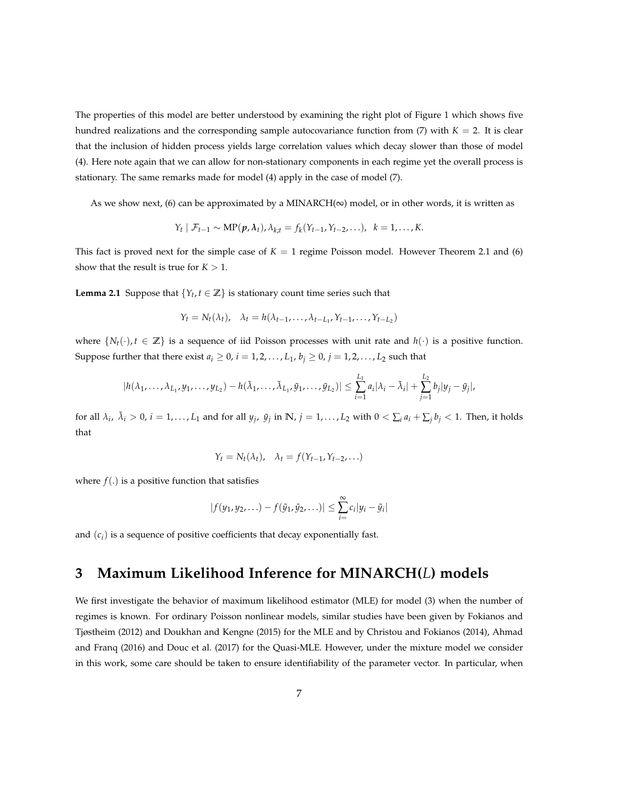The properties of this model are better understood by examining the right plot of Figure 1 which shows five hundred realizations and the corresponding sample autocovariance function from  $(7)$  with  $K = 2$ . It is clear that the inclusion of hidden process yields large correlation values which decay slower than those of model (4). Here note again that we can allow for non-stationary components in each regime yet the overall process is stationary. The same remarks made for model (4) apply in the case of model (7).

As we show next, (6) can be approximated by a MINARCH( $\infty$ ) model, or in other words, it is written as

$$
Y_t | \mathcal{F}_{t-1} \sim \text{MP}(\boldsymbol{p}, \lambda_t), \lambda_{k,t} = f_k(Y_{t-1}, Y_{t-2}, \ldots), \ \ k = 1, \ldots, K.
$$

This fact is proved next for the simple case of  $K = 1$  regime Poisson model. However Theorem 2.1 and (6) show that the result is true for  $K > 1$ .

**Lemma 2.1** Suppose that  $\{Y_t, t \in \mathbb{Z}\}\)$  is stationary count time series such that

$$
Y_t = N_t(\lambda_t), \quad \lambda_t = h(\lambda_{t-1}, \ldots, \lambda_{t-L_1}, Y_{t-1}, \ldots, Y_{t-L_2})
$$

where  $\{N_t(\cdot), t \in \mathbb{Z}\}$  is a sequence of iid Poisson processes with unit rate and  $h(\cdot)$  is a positive function. Suppose further that there exist  $a_i \geq 0$ ,  $i = 1, 2, \ldots, L_1$ ,  $b_j \geq 0$ ,  $j = 1, 2, \ldots, L_2$  such that

$$
|h(\lambda_1,\ldots,\lambda_{L_1},y_1,\ldots,y_{L_2})-h(\tilde{\lambda}_1,\ldots,\tilde{\lambda}_{L_1},\tilde{y}_1,\ldots,\tilde{y}_{L_2})|\leq \sum_{i=1}^{L_1}a_i|\lambda_i-\tilde{\lambda}_i|+\sum_{j=1}^{L_2}b_j|y_j-\tilde{y}_j|,
$$

for all  $\lambda_i$ ,  $\tilde{\lambda}_i > 0$ ,  $i = 1, ..., L_1$  and for all  $y_j$ ,  $\tilde{y}_j$  in  $\mathbb{N}$ ,  $j = 1, ..., L_2$  with  $0 < \sum_i a_i + \sum_j b_j < 1$ . Then, it holds that

$$
Y_t = N_t(\lambda_t), \quad \lambda_t = f(Y_{t-1}, Y_{t-2}, \ldots)
$$

where  $f(.)$  is a positive function that satisfies

$$
|f(y_1,y_2,\ldots)-f(\tilde{y}_1,\tilde{y}_2,\ldots)|\leq \sum_{i=1}^{\infty}c_i|y_i-\tilde{y}_i|
$$

and (*c<sup>i</sup>* ) is a sequence of positive coefficients that decay exponentially fast.

# **3 Maximum Likelihood Inference for MINARCH(***L***) models**

We first investigate the behavior of maximum likelihood estimator (MLE) for model (3) when the number of regimes is known. For ordinary Poisson nonlinear models, similar studies have been given by Fokianos and Tjøstheim (2012) and Doukhan and Kengne (2015) for the MLE and by Christou and Fokianos (2014), Ahmad and Franq (2016) and Douc et al. (2017) for the Quasi-MLE. However, under the mixture model we consider in this work, some care should be taken to ensure identifiability of the parameter vector. In particular, when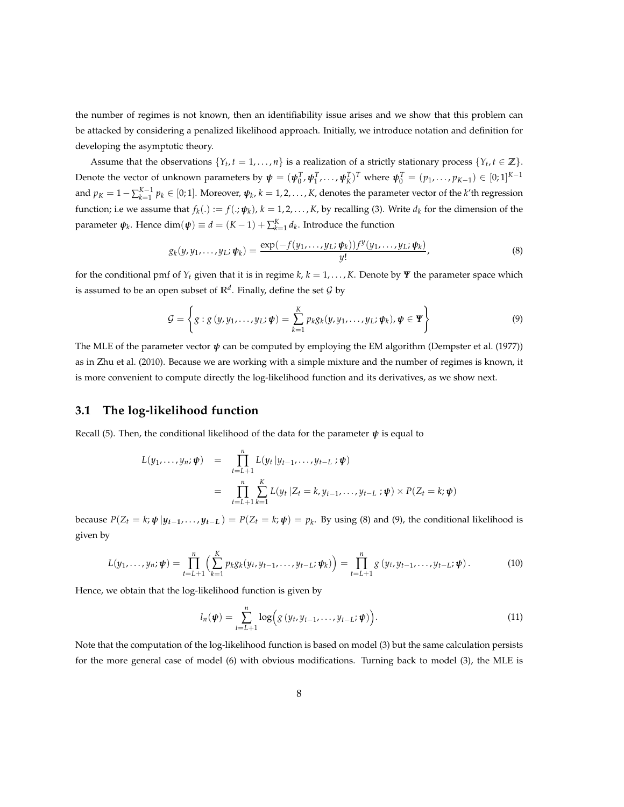the number of regimes is not known, then an identifiability issue arises and we show that this problem can be attacked by considering a penalized likelihood approach. Initially, we introduce notation and definition for developing the asymptotic theory.

Assume that the observations  $\{Y_t, t = 1, \ldots, n\}$  is a realization of a strictly stationary process  $\{Y_t, t \in \mathbb{Z}\}$ . Denote the vector of unknown parameters by  $\boldsymbol{\psi}=(\boldsymbol{\psi}_0^T,\boldsymbol{\psi}_1^T,\ldots,\boldsymbol{\psi}_K^T)^T$  where  $\boldsymbol{\psi}_0^T=(p_1,\ldots,p_{K-1})\in[0;1]^{K-1}$ and  $p_K = 1 - \sum_{k=1}^{K-1} p_k \in [0;1]$ . Moreover,  $\psi_k$ ,  $k = 1,2,\ldots,K$ , denotes the parameter vector of the *k*'th regression function; i.e we assume that  $f_k(.) := f(.;\psi_k)$ ,  $k = 1,2,...,K$ , by recalling (3). Write  $d_k$  for the dimension of the parameter  $\psi_k$ . Hence  $\dim(\psi) \equiv d = (K-1) + \sum_{k=1}^K d_k$ . Introduce the function

$$
g_k(y, y_1, \ldots, y_L; \boldsymbol{\psi}_k) = \frac{\exp(-f(y_1, \ldots, y_L; \boldsymbol{\psi}_k)) f^y(y_1, \ldots, y_L; \boldsymbol{\psi}_k)}{y!},
$$
\n(8)

for the conditional pmf of  $Y_t$  given that it is in regime  $k, k = 1, \ldots, K$ . Denote by *Ψ* the parameter space which is assumed to be an open subset of  $\mathbb{R}^d$ . Finally, define the set  $\mathcal G$  by

$$
\mathcal{G} = \left\{ g: g(y, y_1, \dots, y_L; \boldsymbol{\psi}) = \sum_{k=1}^K p_k g_k(y, y_1, \dots, y_L; \boldsymbol{\psi}_k), \boldsymbol{\psi} \in \boldsymbol{\Psi} \right\}
$$
(9)

The MLE of the parameter vector  $\psi$  can be computed by employing the EM algorithm (Dempster et al. (1977)) as in Zhu et al. (2010). Because we are working with a simple mixture and the number of regimes is known, it is more convenient to compute directly the log-likelihood function and its derivatives, as we show next.

#### **3.1 The log-likelihood function**

Recall (5). Then, the conditional likelihood of the data for the parameter *ψ* is equal to

$$
L(y_1,..., y_n; \psi) = \prod_{t=L+1}^{n} L(y_t | y_{t-1},..., y_{t-L} ; \psi)
$$
  
= 
$$
\prod_{t=L+1}^{n} \sum_{k=1}^{K} L(y_t | Z_t = k, y_{t-1},..., y_{t-L} ; \psi) \times P(Z_t = k; \psi)
$$

because  $P(Z_t = k; \psi | y_{t-1}, \ldots, y_{t-L}) = P(Z_t = k; \psi) = p_k$ . By using (8) and (9), the conditional likelihood is given by

$$
L(y_1,\ldots,y_n;\boldsymbol{\psi})=\prod_{t=L+1}^n\Big(\sum_{k=1}^K p_k g_k(y_t,y_{t-1},\ldots,y_{t-L};\boldsymbol{\psi}_k)\Big)=\prod_{t=L+1}^n g(y_t,y_{t-1},\ldots,y_{t-L};\boldsymbol{\psi}).
$$
 (10)

Hence, we obtain that the log-likelihood function is given by

$$
l_n(\boldsymbol{\psi}) = \sum_{t=L+1}^n \log \Bigl(g\left(y_t, y_{t-1}, \ldots, y_{t-L}; \boldsymbol{\psi}\right)\Bigr).
$$
 (11)

Note that the computation of the log-likelihood function is based on model (3) but the same calculation persists for the more general case of model (6) with obvious modifications. Turning back to model (3), the MLE is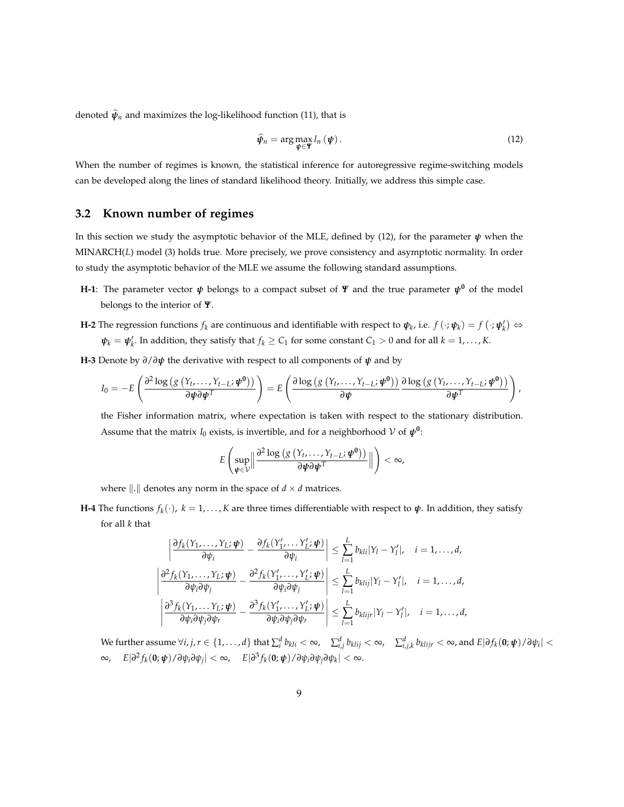denoted  $\hat{\psi}_n$  and maximizes the log-likelihood function (11), that is

$$
\widehat{\psi}_n = \arg \max_{\psi \in \mathbf{Y}} l_n(\psi). \tag{12}
$$

When the number of regimes is known, the statistical inference for autoregressive regime-switching models can be developed along the lines of standard likelihood theory. Initially, we address this simple case.

### **3.2 Known number of regimes**

In this section we study the asymptotic behavior of the MLE, defined by (12), for the parameter *ψ* when the MINARCH(*L*) model (3) holds true. More precisely, we prove consistency and asymptotic normality. In order to study the asymptotic behavior of the MLE we assume the following standard assumptions.

- **H-1**: The parameter vector *ψ* belongs to a compact subset of *Ψ* and the true parameter *ψ***<sup>0</sup>** of the model belongs to the interior of *Ψ*.
- **H-2** The regression functions  $f_k$  are continuous and identifiable with respect to  $\psi_k$ , i.e.  $f(\cdot;\psi_k) = f(\cdot;\psi'_k) \Leftrightarrow$  $\psi_k = \psi'_k$ . In addition, they satisfy that  $f_k \ge C_1$  for some constant  $C_1 > 0$  and for all  $k = 1, \ldots, K$ .
- **H-3** Denote by *∂*/*∂ψ* the derivative with respect to all components of *ψ* and by

$$
I_0 = -E\left(\frac{\partial^2 \log\left(g\left(Y_t,\ldots,Y_{t-L};\boldsymbol{\psi}^0\right)\right)}{\partial \boldsymbol{\psi} \partial \boldsymbol{\psi}^T}\right) = E\left(\frac{\partial \log\left(g\left(Y_t,\ldots,Y_{t-L};\boldsymbol{\psi}^0\right)\right)}{\partial \boldsymbol{\psi}}\frac{\partial \log\left(g\left(Y_t,\ldots,Y_{t-L};\boldsymbol{\psi}^0\right)\right)}{\partial \boldsymbol{\psi}^T}\right),
$$

the Fisher information matrix, where expectation is taken with respect to the stationary distribution. Assume that the matrix *I*<sub>0</sub> exists, is invertible, and for a neighborhood  $V$  of  $\boldsymbol{\psi}^0$ :

$$
E\left(\sup_{\boldsymbol{\psi}\in\mathcal{V}}\left\|\frac{\partial^2\log\left(g\left(Y_t,\ldots,Y_{t-L};\boldsymbol{\psi}^0\right)\right)}{\partial\boldsymbol{\psi}\partial\boldsymbol{\psi}^T}\right\|\right)<\infty,
$$

where  $\| \cdot \|$  denotes any norm in the space of  $d \times d$  matrices.

**H-4** The functions  $f_k(\cdot)$ ,  $k = 1, ..., K$  are three times differentiable with respect to  $\psi$ . In addition, they satisfy for all *k* that

$$
\left| \frac{\partial f_k(Y_1, \dots, Y_L; \boldsymbol{\psi})}{\partial \psi_i} - \frac{\partial f_k(Y'_1, \dots, Y'_L; \boldsymbol{\psi})}{\partial \psi_i} \right| \leq \sum_{l=1}^L b_{kli} |Y_l - Y'_l|, \quad i = 1, \dots, d,
$$
  

$$
\left| \frac{\partial^2 f_k(Y_1, \dots, Y_L; \boldsymbol{\psi})}{\partial \psi_i \partial \psi_j} - \frac{\partial^2 f_k(Y'_1, \dots, Y'_L; \boldsymbol{\psi})}{\partial \psi_i \partial \psi_j} \right| \leq \sum_{l=1}^L b_{kli} |Y_l - Y'_l|, \quad i = 1, \dots, d,
$$
  

$$
\left| \frac{\partial^3 f_k(Y_1, \dots, Y_L; \boldsymbol{\psi})}{\partial \psi_i \partial \psi_j \partial \psi_r} - \frac{\partial^3 f_k(Y'_1, \dots, Y'_L; \boldsymbol{\psi})}{\partial \psi_i \partial \psi_j \partial \psi_r} \right| \leq \sum_{l=1}^L b_{kli} |Y_l - Y'_l|, \quad i = 1, \dots, d,
$$

We further assume  $\forall i,j,r\in\{1,\ldots,d\}$  that  $\sum_i^d b_{kli}<\infty$ ,  $\quad \sum_{i,j}^d b_{klij}<\infty$ ,  $\quad \sum_{i,j,k}^d b_{klijr}<\infty$ , and  $E|\partial f_k({\bf 0};{\boldsymbol{\psi}})/\partial \psi_i|<\infty$  $\infty$ ,  $E|\partial^2 f_k(\mathbf{0}; \boldsymbol{\psi})/\partial \psi_i \partial \psi_j| < \infty$ ,  $E|\partial^3 f_k(\mathbf{0}; \boldsymbol{\psi})/\partial \psi_i \partial \psi_j \partial \psi_k| < \infty$ .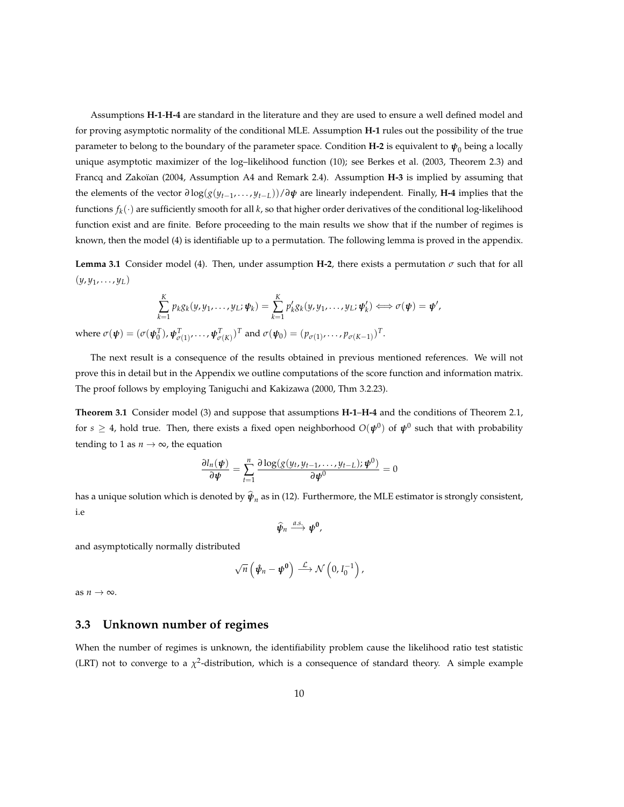Assumptions **H-1**-**H-4** are standard in the literature and they are used to ensure a well defined model and for proving asymptotic normality of the conditional MLE. Assumption **H-1** rules out the possibility of the true parameter to belong to the boundary of the parameter space. Condition **H-2** is equivalent to  $\pmb{\psi}_0$  being a locally unique asymptotic maximizer of the log–likelihood function (10); see Berkes et al. (2003, Theorem 2.3) and Francq and Zakoïan (2004, Assumption A4 and Remark 2.4). Assumption **H-3** is implied by assuming that the elements of the vector *∂* log(*g*(*yt*−<sup>1</sup> , . . . , *yt*−*L*))/*∂ψ* are linearly independent. Finally, **H-4** implies that the functions *f<sup>k</sup>* (·) are sufficiently smooth for all *k*, so that higher order derivatives of the conditional log-likelihood function exist and are finite. Before proceeding to the main results we show that if the number of regimes is known, then the model (4) is identifiable up to a permutation. The following lemma is proved in the appendix.

**Lemma 3.1** Consider model (4). Then, under assumption **H-2**, there exists a permutation  $\sigma$  such that for all  $(y, y_1, \ldots, y_L)$ 

$$
\sum_{k=1}^K p_k g_k(y, y_1, \dots, y_L; \boldsymbol{\psi}_k) = \sum_{k=1}^K p'_k g_k(y, y_1, \dots, y_L; \boldsymbol{\psi}'_k) \Longleftrightarrow \sigma(\boldsymbol{\psi}) = \boldsymbol{\psi}',
$$

where  $\sigma(\boldsymbol{\psi}) = (\sigma(\boldsymbol{\psi}_0^T), \boldsymbol{\psi}_{\sigma(1)}^T, \dots, \boldsymbol{\psi}_{\sigma(K)}^T)^T$  and  $\sigma(\boldsymbol{\psi}_0) = (p_{\sigma(1)}, \dots, p_{\sigma(K-1)})^T$ .

The next result is a consequence of the results obtained in previous mentioned references. We will not prove this in detail but in the Appendix we outline computations of the score function and information matrix. The proof follows by employing Taniguchi and Kakizawa (2000, Thm 3.2.23).

**Theorem 3.1** Consider model (3) and suppose that assumptions **H-1**–**H-4** and the conditions of Theorem 2.1, for  $s\geq 4$ , hold true. Then, there exists a fixed open neighborhood  $O(\pmb{\psi}^0)$  of  $\pmb{\psi}^0$  such that with probability tending to 1 as  $n \to \infty$ , the equation

$$
\frac{\partial l_n(\boldsymbol{\psi})}{\partial \boldsymbol{\psi}} = \sum_{t=1}^n \frac{\partial \log(g(y_t, y_{t-1}, \dots, y_{t-L}); \boldsymbol{\psi}^0)}{\partial \boldsymbol{\psi}^0} = 0
$$

has a unique solution which is denoted by  $\pmb{\psi}_n$  as in (12). Furthermore, the MLE estimator is strongly consistent, i.e

 $\widehat{\psi}_n \stackrel{a.s.}{\longrightarrow} \psi^0$ ,

and asymptotically normally distributed

$$
\sqrt{n}\left(\hat{\psi}_n-\psi^0\right)\stackrel{\mathcal{L}}{\longrightarrow}\mathcal{N}\left(0,I_0^{-1}\right),\,
$$

as  $n \to \infty$ .

#### **3.3 Unknown number of regimes**

When the number of regimes is unknown, the identifiability problem cause the likelihood ratio test statistic (LRT) not to converge to a  $\chi^2$ -distribution, which is a consequence of standard theory. A simple example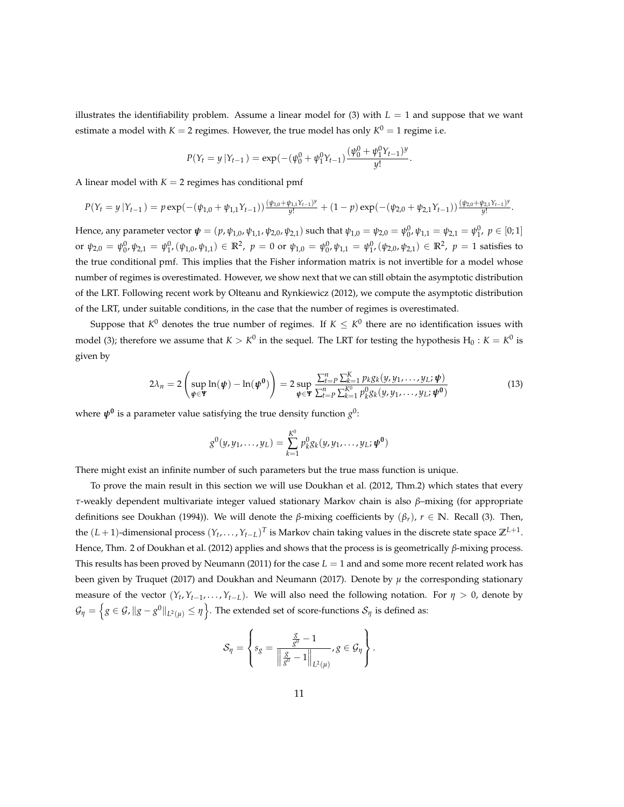illustrates the identifiability problem. Assume a linear model for (3) with  $L = 1$  and suppose that we want estimate a model with  $K = 2$  regimes. However, the true model has only  $K^0 = 1$  regime i.e.

$$
P(Y_t = y | Y_{t-1}) = \exp(-( \psi_0^0 + \psi_1^0 Y_{t-1}) \frac{(\psi_0^0 + \psi_1^0 Y_{t-1})^y}{y!}.
$$

A linear model with  $K = 2$  regimes has conditional pmf

$$
P(Y_t = y | Y_{t-1}) = p \exp(-( \psi_{1,0} + \psi_{1,1} Y_{t-1})) \frac{(\psi_{1,0} + \psi_{1,1} Y_{t-1})^y}{y!} + (1-p) \exp(-( \psi_{2,0} + \psi_{2,1} Y_{t-1})) \frac{(\psi_{2,0} + \psi_{2,1} Y_{t-1})^y}{y!}.
$$

Hence, any parameter vector  $\psi = (p, \psi_{1,0}, \psi_{1,1}, \psi_{2,0}, \psi_{2,1})$  such that  $\psi_{1,0} = \psi_{2,0} = \psi_0^0$ ,  $\psi_{1,1} = \psi_{2,1} = \psi_1^0$ ,  $p \in [0,1]$ or  $\psi_{2,0} = \psi_0^0$ ,  $\psi_{2,1} = \psi_1^0$ ,  $(\psi_{1,0}, \psi_{1,1}) \in \mathbb{R}^2$ ,  $p = 0$  or  $\psi_{1,0} = \psi_0^0$ ,  $\psi_{1,1} = \psi_1^0$ ,  $(\psi_{2,0}, \psi_{2,1}) \in \mathbb{R}^2$ ,  $p = 1$  satisfies to the true conditional pmf. This implies that the Fisher information matrix is not invertible for a model whose number of regimes is overestimated. However, we show next that we can still obtain the asymptotic distribution of the LRT. Following recent work by Olteanu and Rynkiewicz (2012), we compute the asymptotic distribution of the LRT, under suitable conditions, in the case that the number of regimes is overestimated.

Suppose that  $K^0$  denotes the true number of regimes. If  $K\leq K^0$  there are no identification issues with model (3); therefore we assume that  $K > K^0$  in the sequel. The LRT for testing the hypothesis  $H_0: K = K^0$  is given by

$$
2\lambda_n = 2\left(\sup_{\boldsymbol{\psi}\in\mathbf{\Psi}}\ln(\boldsymbol{\psi}) - \ln(\boldsymbol{\psi^0})\right) = 2\sup_{\boldsymbol{\psi}\in\mathbf{\Psi}}\frac{\sum_{t=P}^n\sum_{k=1}^K p_k g_k(y, y_1, \dots, y_L; \boldsymbol{\psi})}{\sum_{t=P}^n\sum_{k=1}^K p_k^0 g_k(y, y_1, \dots, y_L; \boldsymbol{\psi^0})}
$$
(13)

where *ψ***<sup>0</sup>** is a parameter value satisfying the true density function *g* 0 :

$$
g^{0}(y, y_{1}, \ldots, y_{L}) = \sum_{k=1}^{K^{0}} p_{k}^{0} g_{k}(y, y_{1}, \ldots, y_{L}; \boldsymbol{\psi}^{0})
$$

There might exist an infinite number of such parameters but the true mass function is unique.

To prove the main result in this section we will use Doukhan et al. (2012, Thm.2) which states that every *τ*-weakly dependent multivariate integer valued stationary Markov chain is also *β*–mixing (for appropriate definitions see Doukhan (1994)). We will denote the *β*-mixing coefficients by (*βr*), *r* ∈ **N**. Recall (3). Then, the  $(L+1)$ -dimensional process  $(Y_t, \ldots, Y_{t-L})^T$  is Markov chain taking values in the discrete state space  $\mathbb{Z}^{L+1}$ . Hence, Thm. 2 of Doukhan et al. (2012) applies and shows that the process is is geometrically *β*-mixing process. This results has been proved by Neumann (2011) for the case  $L = 1$  and and some more recent related work has been given by Truquet (2017) and Doukhan and Neumann (2017). Denote by  $\mu$  the corresponding stationary measure of the vector  $(Y_t, Y_{t-1}, \ldots, Y_{t-L})$ . We will also need the following notation. For  $\eta > 0$ , denote by  $\mathcal{G}_\eta=\left\{g\in\mathcal{G}$ ,  $\|g-g^0\|_{L^2(\mu)}\leq\eta\right\}.$  The extended set of score-functions  $\mathcal{S}_\eta$  is defined as:

$$
\mathcal{S}_{\eta} = \left\{ s_g = \frac{\frac{g}{g^0} - 1}{\left\| \frac{g}{g^0} - 1 \right\|_{L^2(\mu)}}, g \in \mathcal{G}_{\eta} \right\}.
$$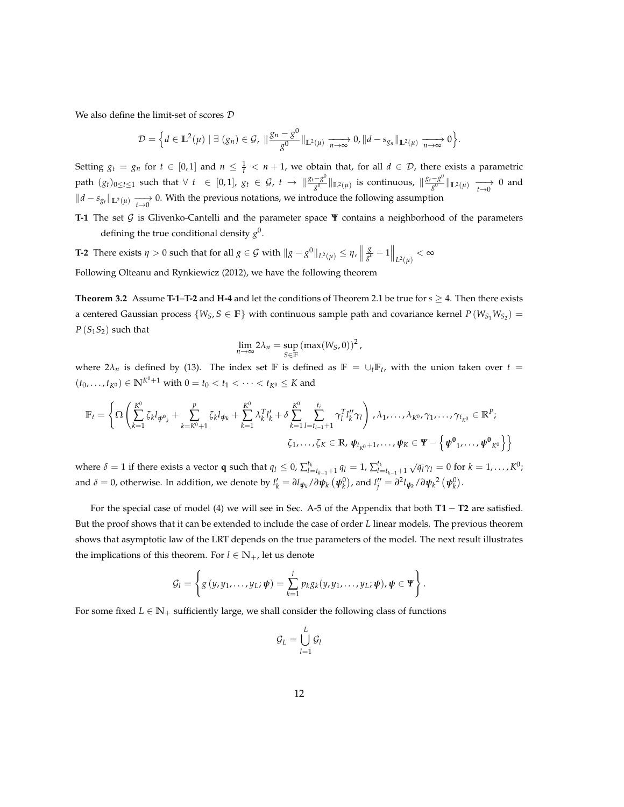We also define the limit-set of scores D

$$
\mathcal{D}=\Big\{d\in\mathbb{L}^2(\mu)\mid \exists\ (g_n)\in\mathcal{G},\ \|\frac{g_n-g^0}{g^0}\|_{\mathbb{L}^2(\mu)}\xrightarrow[n\to\infty]{}0,\|d-s_{g_n}\|_{\mathbb{L}^2(\mu)}\xrightarrow[n\to\infty]{}0\Big\}.
$$

Setting  $g_t = g_n$  for  $t \in [0,1]$  and  $n \leq \frac{1}{t} < n+1$ , we obtain that, for all  $d \in \mathcal{D}$ , there exists a parametric path  $(g_t)_{0 \le t \le 1}$  such that  $\forall t \in [0,1]$ ,  $g_t \in \mathcal{G}$ ,  $t \to \frac{\mathcal{g}_t - g^0}{\sigma^0}$ *g*<sup>0</sup> ∣<sub>L2(µ)</sub> is continuous,  $\|\frac{g_t - g^0}{g^0}\|$  $\frac{-g}{g^0}$   $\|_{\mathbb{L}^2(\mu)} \longrightarrow 0$  and  $||d - s_{g_t}||_{\mathbb{L}^2(\mu)} \longrightarrow 0$ . With the previous notations, we introduce the following assumption

**T-1** The set G is Glivenko-Cantelli and the parameter space **Ψ** contains a neighborhood of the parameters defining the true conditional density *g* 0 .

**T-2** There exists  $\eta > 0$  such that for all  $g \in \mathcal{G}$  with  $||g - g^0||_{L^2(\mu)} \leq \eta$ ,  $||$ *g g* <sup>0</sup> − 1 *L* <sup>2</sup>(*µ*) < ∞ Following Olteanu and Rynkiewicz (2012), we have the following theorem

**Theorem 3.2** Assume **T-1–T-2** and **H-4** and let the conditions of Theorem 2.1 be true for  $s \ge 4$ . Then there exists a centered Gaussian process  $\{W_S, S \in \mathbb{F}\}$  with continuous sample path and covariance kernel  $P(W_{S_1}W_{S_2}) =$ *P* (*S*1*S*2) such that

$$
\lim_{n\to\infty}2\lambda_n=\sup_{S\in\mathbb{F}}\left(\max(W_S,0)\right)^2,
$$

where  $2\lambda_n$  is defined by (13). The index set **F** is defined as  $\mathbb{F} = \cup_t \mathbb{F}_t$ , with the union taken over  $t =$  $(t_0, \ldots, t_{K^0}) \in \mathbb{N}^{K^0+1}$  with  $0 = t_0 < t_1 < \cdots < t_{K^0} \leq K$  and

$$
\mathbb{F}_{t} = \left\{ \Omega \left( \sum_{k=1}^{K^{0}} \zeta_{k} l_{\psi^{0}_{k}} + \sum_{k=K^{0}+1}^{p} \zeta_{k} l_{\psi_{k}} + \sum_{k=1}^{K^{0}} \lambda_{k}^{T} l_{k}^{t} + \delta \sum_{k=1}^{K^{0}} \sum_{l=t_{i-1}+1}^{t_{i}} \gamma_{l}^{T} l_{k}^{u} \gamma_{l} \right), \lambda_{1}, \ldots, \lambda_{K^{0}}, \gamma_{1}, \ldots, \gamma_{t_{K^{0}}} \in \mathbb{R}^{P};
$$
\n
$$
\zeta_{1}, \ldots, \zeta_{K} \in \mathbb{R}, \psi_{t_{K^{0}}+1}, \ldots, \psi_{K} \in \mathbf{Y} - \left\{ \psi^{0}_{1}, \ldots, \psi^{0}_{K^{0}} \right\} \right\}
$$

where  $\delta = 1$  if there exists a vector **q** such that  $q_l \le 0$ ,  $\sum_{l=t_{k-1}+1}^{t_k} q_l = 1$ ,  $\sum_{l=t_{k-1}+1}^{t_k} \sqrt{q_l} \gamma_l = 0$  for  $k = 1, ..., K^0$ ; and  $\delta=0$ , otherwise. In addition, we denote by  $l'_k=\partial l_{\bm{\psi}_k}/\partial \bm{\psi}_k\left(\bm{\psi}^0_k\right)$ , and  $l''_j=\partial^2 l_{\bm{\psi}_k}/\partial \bm{\psi}_k{}^2\left(\bm{\psi}^0_k\right)$ .

For the special case of model (4) we will see in Sec. A-5 of the Appendix that both **T1** − **T2** are satisfied. But the proof shows that it can be extended to include the case of order *L* linear models. The previous theorem shows that asymptotic law of the LRT depends on the true parameters of the model. The next result illustrates the implications of this theorem. For  $l \in \mathbb{N}_+$ , let us denote

$$
\mathcal{G}_l = \left\{ g(y, y_1, \ldots, y_L; \boldsymbol{\psi}) = \sum_{k=1}^l p_k g_k(y, y_1, \ldots, y_L; \boldsymbol{\psi}), \boldsymbol{\psi} \in \mathbf{Y} \right\}.
$$

For some fixed  $L \in \mathbb{N}_+$  sufficiently large, we shall consider the following class of functions

$$
\mathcal{G}_L = \bigcup_{l=1}^L \mathcal{G}_l
$$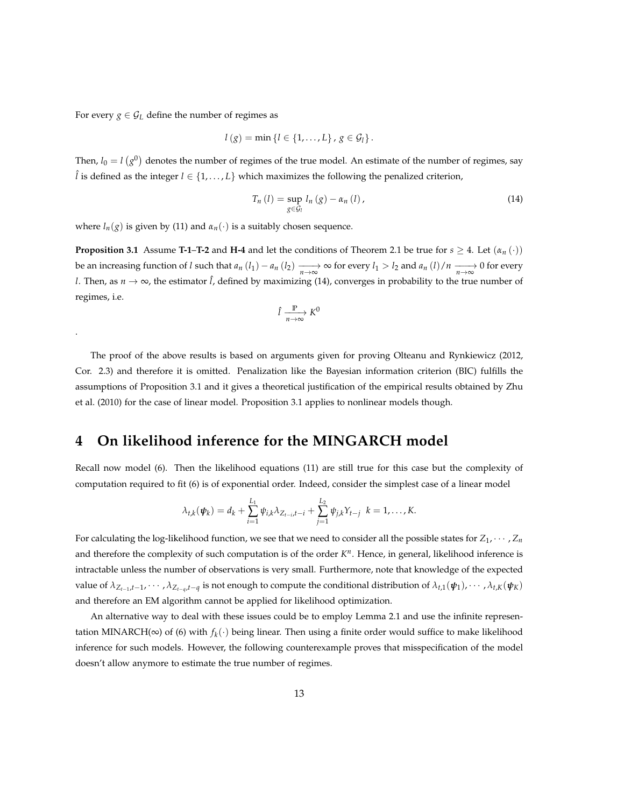For every *g*  $\in$  *G*<sub>*L*</sub> define the number of regimes as

.

$$
l(g) = \min \{l \in \{1, ..., L\}, g \in G_l\}.
$$

Then,  $l_0 = l(g^0)$  denotes the number of regimes of the true model. An estimate of the number of regimes, say  $\hat{l}$  is defined as the integer  $l \in \{1, \ldots, L\}$  which maximizes the following the penalized criterion,

$$
T_n(l) = \sup_{g \in \mathcal{G}_l} l_n(g) - \alpha_n(l), \qquad (14)
$$

where  $l_n(g)$  is given by (11) and  $\alpha_n(\cdot)$  is a suitably chosen sequence.

**Proposition 3.1** Assume **T-1–T-2** and **H-4** and let the conditions of Theorem 2.1 be true for  $s \ge 4$ . Let  $(a_n(\cdot))$ be an increasing function of l such that  $a_n(l_1) - a_n(l_2) \xrightarrow[n \to \infty]{} \infty$  for every  $l_1 > l_2$  and  $a_n(l)/n \xrightarrow[n \to \infty]{} 0$  for every *l*. Then, as  $n \to \infty$ , the estimator  $\hat{l}$ , defined by maximizing (14), converges in probability to the true number of regimes, i.e.

$$
\hat{l} \xrightarrow[n \to \infty]{\mathbb{P}} K^0
$$

The proof of the above results is based on arguments given for proving Olteanu and Rynkiewicz (2012, Cor. 2.3) and therefore it is omitted. Penalization like the Bayesian information criterion (BIC) fulfills the assumptions of Proposition 3.1 and it gives a theoretical justification of the empirical results obtained by Zhu et al. (2010) for the case of linear model. Proposition 3.1 applies to nonlinear models though.

### **4 On likelihood inference for the MINGARCH model**

Recall now model (6). Then the likelihood equations (11) are still true for this case but the complexity of computation required to fit (6) is of exponential order. Indeed, consider the simplest case of a linear model

$$
\lambda_{t,k}(\psi_k) = d_k + \sum_{i=1}^{L_1} \psi_{i,k} \lambda_{Z_{t-i},t-i} + \sum_{j=1}^{L_2} \psi_{j,k} Y_{t-j} \ \ k = 1,\ldots,K.
$$

For calculating the log-likelihood function, we see that we need to consider all the possible states for  $Z_1, \cdots, Z_n$ and therefore the complexity of such computation is of the order  $K^n$ . Hence, in general, likelihood inference is intractable unless the number of observations is very small. Furthermore, note that knowledge of the expected value of  $\lambda_{Z_{t-1},t-1},\cdots,\lambda_{Z_{t-q},t-q}$  is not enough to compute the conditional distribution of  $\lambda_{t,1}(\pmb{\psi}_1),\cdots,\lambda_{t,K}(\pmb{\psi}_K)$ and therefore an EM algorithm cannot be applied for likelihood optimization.

An alternative way to deal with these issues could be to employ Lemma 2.1 and use the infinite representation MINARCH(∞) of (6) with *f<sup>k</sup>* (·) being linear. Then using a finite order would suffice to make likelihood inference for such models. However, the following counterexample proves that misspecification of the model doesn't allow anymore to estimate the true number of regimes.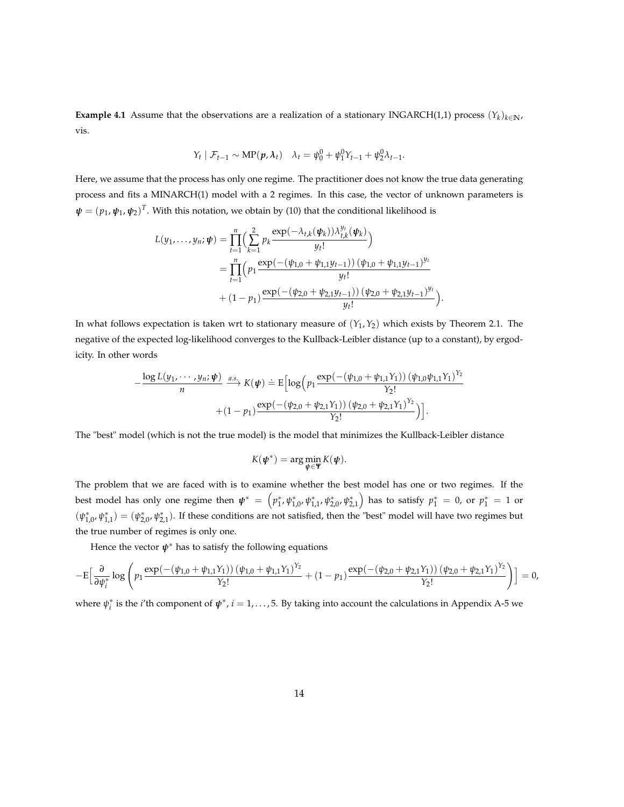**Example 4.1** Assume that the observations are a realization of a stationary INGARCH(1,1) process  $(Y_k)_{k \in \mathbb{N}}$ , vis.

$$
Y_t | \mathcal{F}_{t-1} \sim \text{MP}(\boldsymbol{p}, \lambda_t) \quad \lambda_t = \psi_0^0 + \psi_1^0 Y_{t-1} + \psi_2^0 \lambda_{t-1}.
$$

Here, we assume that the process has only one regime. The practitioner does not know the true data generating process and fits a MINARCH(1) model with a 2 regimes. In this case, the vector of unknown parameters is  $\pmb{\psi}=(p_1,\pmb{\psi}_1,\pmb{\psi}_2)^T.$  With this notation, we obtain by (10) that the conditional likelihood is

$$
L(y_1,...,y_n; \psi) = \prod_{t=1}^n \Biggl( \sum_{k=1}^2 p_k \frac{\exp(-\lambda_{t,k}(\psi_k))\lambda_{t,k}^{y_t}(\psi_k)}{y_t!} \Biggr)
$$
  
= 
$$
\prod_{t=1}^n \Biggl( p_1 \frac{\exp(-( \psi_{1,0} + \psi_{1,1}y_{t-1}))(\psi_{1,0} + \psi_{1,1}y_{t-1})^{y_t}}{y_t!} + (1 - p_1) \frac{\exp(-( \psi_{2,0} + \psi_{2,1}y_{t-1}))(\psi_{2,0} + \psi_{2,1}y_{t-1})^{y_t}}{y_t!} \Biggr).
$$

In what follows expectation is taken wrt to stationary measure of (*Y*<sup>1</sup> ,*Y*2) which exists by Theorem 2.1. The negative of the expected log-likelihood converges to the Kullback-Leibler distance (up to a constant), by ergodicity. In other words

$$
-\frac{\log L(y_1, \cdots, y_n; \psi)}{n} \xrightarrow{a.s.} K(\psi) \doteq E \Big[ \log \Big( p_1 \frac{\exp(-( \psi_{1,0} + \psi_{1,1} Y_1) ) (\psi_{1,0} \psi_{1,1} Y_1)^{Y_2}}{Y_2!} + (1 - p_1) \frac{\exp(-( \psi_{2,0} + \psi_{2,1} Y_1) ) (\psi_{2,0} + \psi_{2,1} Y_1)^{Y_2}}{Y_2!} \Big) \Big].
$$

The "best" model (which is not the true model) is the model that minimizes the Kullback-Leibler distance

$$
K(\pmb{\psi}^*) = \arg\min_{\pmb{\psi} \in \pmb{\Psi}} K(\pmb{\psi}).
$$

The problem that we are faced with is to examine whether the best model has one or two regimes. If the best model has only one regime then  $\pmb{\psi}^* = \left(p_1^*, \psi_{1,0}^*, \psi_{1,1}^*, \psi_{2,0}^*, \psi_{2,1}^*\right)$  has to satisfy  $p_1^* = 0$ , or  $p_1^* = 1$  or  $(\psi_{1,0}^*, \psi_{1,1}^*) = (\psi_{2,0}^*, \psi_{2,1}^*)$ . If these conditions are not satisfied, then the "best" model will have two regimes but the true number of regimes is only one.

Hence the vector  $\psi^*$  has to satisfy the following equations

$$
-\mathrm{E}\Big[\frac{\partial}{\partial \psi_i^*}\log\Big(p_1\frac{\exp(-( \psi_{1,0} + \psi_{1,1} Y_1))(\psi_{1,0} + \psi_{1,1} Y_1)^{Y_2}}{Y_2!} + (1-p_1)\frac{\exp(-( \psi_{2,0} + \psi_{2,1} Y_1))(\psi_{2,0} + \psi_{2,1} Y_1)^{Y_2}}{Y_2!}\Big)\Big] = 0,
$$

where  $\psi_i^*$  is the *i*'th component of  $\psi^*$ , *i* = 1, . . . , 5. By taking into account the calculations in Appendix A-5 we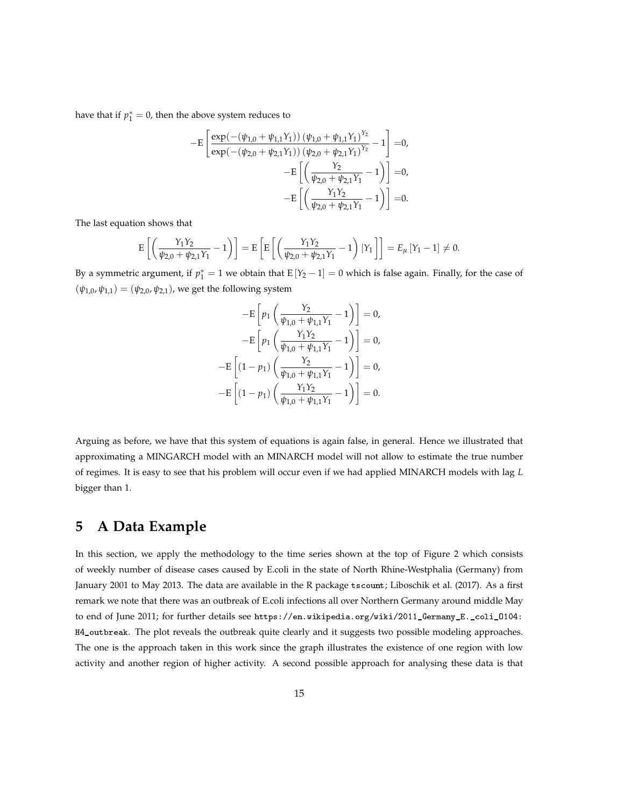have that if  $p_1^* = 0$ , then the above system reduces to

$$
-E\left[\frac{\exp(-( \psi_{1,0} + \psi_{1,1} Y_1)) (\psi_{1,0} + \psi_{1,1} Y_1)^{Y_2}}{\exp(-( \psi_{2,0} + \psi_{2,1} Y_1)) (\psi_{2,0} + \psi_{2,1} Y_1)^{Y_2}} - 1\right] = 0,
$$
  

$$
-E\left[\left(\frac{Y_2}{\psi_{2,0} + \psi_{2,1} Y_1} - 1\right)\right] = 0,
$$
  

$$
-E\left[\left(\frac{Y_1 Y_2}{\psi_{2,0} + \psi_{2,1} Y_1} - 1\right)\right] = 0.
$$

The last equation shows that

$$
E\left[\left(\frac{Y_1Y_2}{\psi_{2,0}+\psi_{2,1}Y_1}-1\right)\right]=E\left[E\left[\left(\frac{Y_1Y_2}{\psi_{2,0}+\psi_{2,1}Y_1}-1\right)|Y_1\right]\right]=E_{\mu}\left[Y_1-1\right]\neq 0.
$$

By a symmetric argument, if  $p_1^* = 1$  we obtain that  $E[Y_2 - 1] = 0$  which is false again. Finally, for the case of  $(\psi_{1,0}, \psi_{1,1}) = (\psi_{2,0}, \psi_{2,1})$ , we get the following system

$$
-E\left[p_1\left(\frac{Y_2}{\psi_{1,0} + \psi_{1,1}Y_1} - 1\right)\right] = 0,
$$
  
\n
$$
-E\left[p_1\left(\frac{Y_1Y_2}{\psi_{1,0} + \psi_{1,1}Y_1} - 1\right)\right] = 0,
$$
  
\n
$$
-E\left[(1 - p_1)\left(\frac{Y_2}{\psi_{1,0} + \psi_{1,1}Y_1} - 1\right)\right] = 0,
$$
  
\n
$$
-E\left[(1 - p_1)\left(\frac{Y_1Y_2}{\psi_{1,0} + \psi_{1,1}Y_1} - 1\right)\right] = 0.
$$

Arguing as before, we have that this system of equations is again false, in general. Hence we illustrated that approximating a MINGARCH model with an MINARCH model will not allow to estimate the true number of regimes. It is easy to see that his problem will occur even if we had applied MINARCH models with lag *L* bigger than 1.

# **5 A Data Example**

In this section, we apply the methodology to the time series shown at the top of Figure 2 which consists of weekly number of disease cases caused by E.coli in the state of North Rhine-Westphalia (Germany) from January 2001 to May 2013. The data are available in the R package tscount; Liboschik et al. (2017). As a first remark we note that there was an outbreak of E.coli infections all over Northern Germany around middle May to end of June 2011; for further details see https://en.wikipedia.org/wiki/2011\_Germany\_E.\_coli\_O104: H4\_outbreak. The plot reveals the outbreak quite clearly and it suggests two possible modeling approaches. The one is the approach taken in this work since the graph illustrates the existence of one region with low activity and another region of higher activity. A second possible approach for analysing these data is that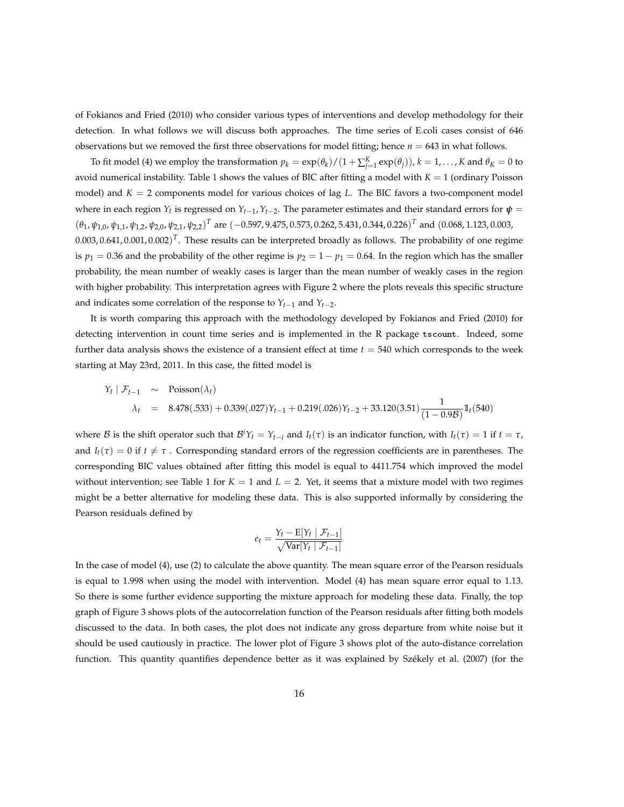of Fokianos and Fried (2010) who consider various types of interventions and develop methodology for their detection. In what follows we will discuss both approaches. The time series of E.coli cases consist of 646 observations but we removed the first three observations for model fitting; hence *n* = 643 in what follows.

To fit model (4) we employ the transformation  $p_k = \exp(\theta_k)/(1 + \sum_{j=1}^K \exp(\theta_j))$ ,  $k = 1, \ldots, K$  and  $\theta_K = 0$  to avoid numerical instability. Table 1 shows the values of BIC after fitting a model with *K* = 1 (ordinary Poisson model) and  $K = 2$  components model for various choices of lag *L*. The BIC favors a two-component model where in each region  $Y_t$  is regressed on  $Y_{t-1}$ ,  $Y_{t-2}$ . The parameter estimates and their standard errors for  $\pmb{\psi} =$ (*θ*<sup>1</sup> , *ψ*1,0, *ψ*1,1, *ψ*1,2, *ψ*2,0, *ψ*2,1, *ψ*2,2) *<sup>T</sup>* are (−0.597, 9.475, 0.573, 0.262, 5.431, 0.344, 0.226) *<sup>T</sup>* and (0.068, 1.123, 0.003,  $0.003$ ,  $0.641$ ,  $0.001$ ,  $0.002$ )<sup>T</sup>. These results can be interpreted broadly as follows. The probability of one regime is  $p_1 = 0.36$  and the probability of the other regime is  $p_2 = 1 - p_1 = 0.64$ . In the region which has the smaller probability, the mean number of weakly cases is larger than the mean number of weakly cases in the region with higher probability. This interpretation agrees with Figure 2 where the plots reveals this specific structure and indicates some correlation of the response to  $Y_{t-1}$  and  $Y_{t-2}$ .

It is worth comparing this approach with the methodology developed by Fokianos and Fried (2010) for detecting intervention in count time series and is implemented in the R package tscount. Indeed, some further data analysis shows the existence of a transient effect at time *t* = 540 which corresponds to the week starting at May 23rd, 2011. In this case, the fitted model is

$$
Y_t | \mathcal{F}_{t-1} \sim \text{Poisson}(\lambda_t)
$$
  
\n $\lambda_t = 8.478(.533) + 0.339(.027)Y_{t-1} + 0.219(.026)Y_{t-2} + 33.120(3.51)\frac{1}{(1-0.9B)}1_t(540)$ 

where  $B$  is the shift operator such that  $B^iY_t = Y_{t-i}$  and  $I_t(\tau)$  is an indicator function, with  $I_t(\tau) = 1$  if  $t = \tau$ , and  $I_t(\tau) = 0$  if  $t \neq \tau$ . Corresponding standard errors of the regression coefficients are in parentheses. The corresponding BIC values obtained after fitting this model is equal to 4411.754 which improved the model without intervention; see Table 1 for  $K = 1$  and  $L = 2$ . Yet, it seems that a mixture model with two regimes might be a better alternative for modeling these data. This is also supported informally by considering the Pearson residuals defined by

$$
e_t = \frac{Y_t - \mathbb{E}[Y_t | \mathcal{F}_{t-1}]}{\sqrt{\text{Var}[Y_t | \mathcal{F}_{t-1}]}}
$$

In the case of model (4), use (2) to calculate the above quantity. The mean square error of the Pearson residuals is equal to 1.998 when using the model with intervention. Model (4) has mean square error equal to 1.13. So there is some further evidence supporting the mixture approach for modeling these data. Finally, the top graph of Figure 3 shows plots of the autocorrelation function of the Pearson residuals after fitting both models discussed to the data. In both cases, the plot does not indicate any gross departure from white noise but it should be used cautiously in practice. The lower plot of Figure 3 shows plot of the auto-distance correlation function. This quantity quantifies dependence better as it was explained by Székely et al. (2007) (for the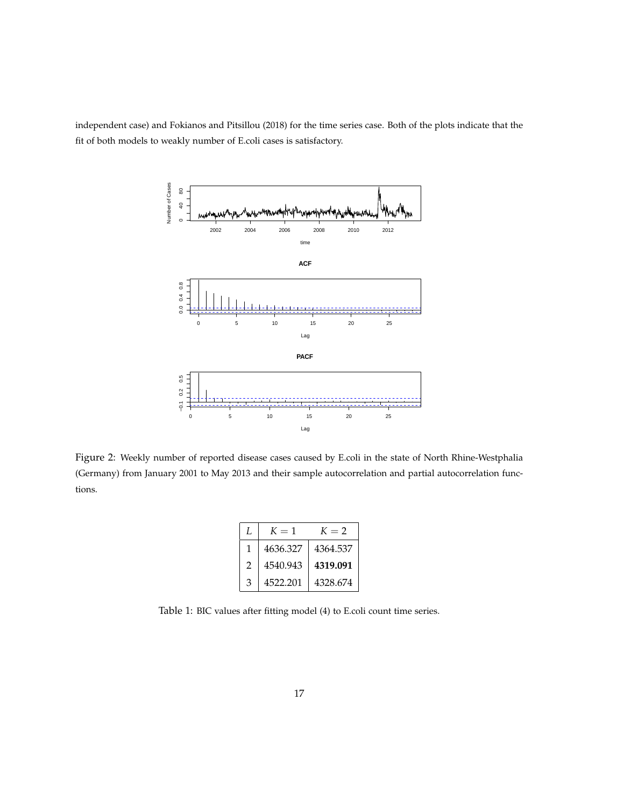independent case) and Fokianos and Pitsillou (2018) for the time series case. Both of the plots indicate that the fit of both models to weakly number of E.coli cases is satisfactory.



Figure 2: Weekly number of reported disease cases caused by E.coli in the state of North Rhine-Westphalia (Germany) from January 2001 to May 2013 and their sample autocorrelation and partial autocorrelation functions.

|               | $K=1$    | $K=2$    |
|---------------|----------|----------|
|               | 4636.327 | 4364.537 |
| $\mathcal{P}$ | 4540.943 | 4319.091 |
| 3             | 4522.201 | 4328.674 |

Table 1: BIC values after fitting model (4) to E.coli count time series.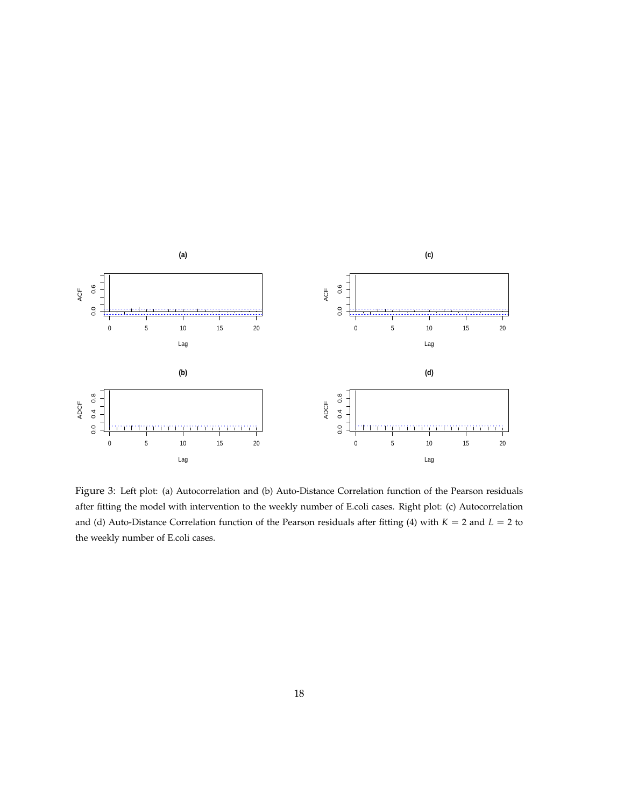

Figure 3: Left plot: (a) Autocorrelation and (b) Auto-Distance Correlation function of the Pearson residuals after fitting the model with intervention to the weekly number of E.coli cases. Right plot: (c) Autocorrelation and (d) Auto-Distance Correlation function of the Pearson residuals after fitting (4) with *K* = 2 and *L* = 2 to the weekly number of E.coli cases.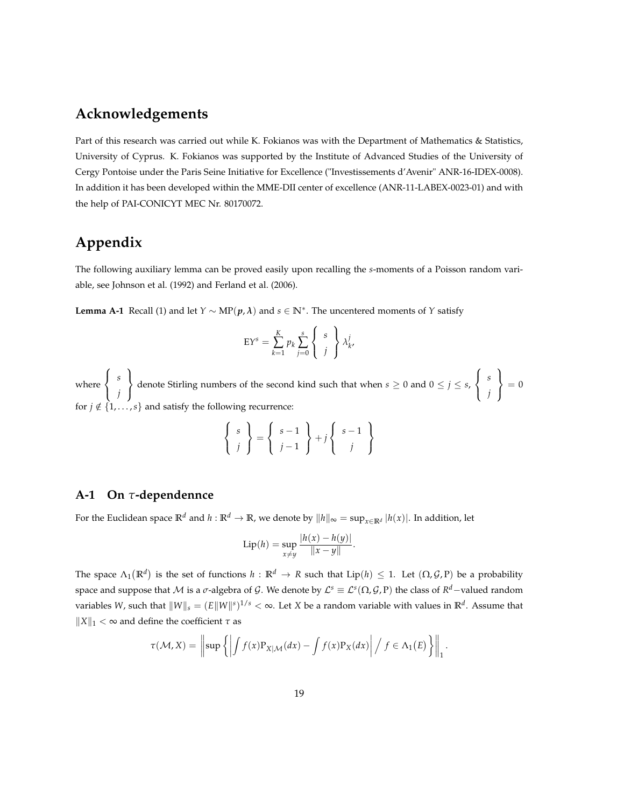# **Acknowledgements**

Part of this research was carried out while K. Fokianos was with the Department of Mathematics & Statistics, University of Cyprus. K. Fokianos was supported by the Institute of Advanced Studies of the University of Cergy Pontoise under the Paris Seine Initiative for Excellence ("Investissements d'Avenir" ANR-16-IDEX-0008). In addition it has been developed within the MME-DII center of excellence (ANR-11-LABEX-0023-01) and with the help of PAI-CONICYT MEC Nr. 80170072.

# **Appendix**

The following auxiliary lemma can be proved easily upon recalling the *s*-moments of a Poisson random variable, see Johnson et al. (1992) and Ferland et al. (2006).

**Lemma A-1** Recall (1) and let *Y* ∼ MP(*p*, *λ*) and *s* ∈ **N**<sup>∗</sup> . The uncentered moments of *Y* satisfy

$$
EY^{s} = \sum_{k=1}^{K} p_{k} \sum_{j=0}^{s} \begin{Bmatrix} s \\ j \end{Bmatrix} \lambda_{k}^{j},
$$

where  $\sqrt{ }$ J  $\mathcal{L}$ *s j*  $\mathcal{L}$  $\mathcal{L}$ J denote Stirling numbers of the second kind such that when  $s \geq 0$  and  $0 \leq j \leq s$ ,  $\sqrt{ }$  $\int$  $\mathcal{L}$ *s j*  $\mathcal{L}$  $\mathcal{L}$ J  $= 0$ for  $j \notin \{1, \ldots, s\}$  and satisfy the following recurrence:

$$
\left\{\begin{array}{c} s \\ j \end{array}\right\} = \left\{\begin{array}{c} s-1 \\ j-1 \end{array}\right\} + j \left\{\begin{array}{c} s-1 \\ j \end{array}\right\}
$$

### **A-1 On** *τ***-dependennce**

For the Euclidean space  $\mathbb{R}^d$  and  $h : \mathbb{R}^d \to \mathbb{R}$ , we denote by  $||h||_{\infty} = \sup_{x \in \mathbb{R}^d} |h(x)|$ . In addition, let

Lip(h) = 
$$
\sup_{x \neq y} \frac{|h(x) - h(y)|}{\|x - y\|}
$$
.

The space  $\Lambda_1(\mathbb{R}^d)$  is the set of functions  $h:\mathbb{R}^d\to R$  such that  $\mathrm{Lip}(h)\leq 1$ . Let  $(\Omega,\mathcal{G},P)$  be a probability space and suppose that  $\cal M$  is a  $\sigma$ -algebra of  $\cal G.$  We denote by  ${\cal L}^s\equiv {\cal L}^s(\Omega,{\cal G},P)$  the class of  $R^d-$ valued random variables *W,* such that  $\|W\|_s = (E\|W\|^s)^{1/s} < \infty$ . Let *X* be a random variable with values in  $\mathbb{R}^d$ . Assume that  $||X||_1 < \infty$  and define the coefficient  $\tau$  as

$$
\tau(\mathcal{M}, X) = \left\| \sup \left\{ \left| \int f(x) P_{X | \mathcal{M}}(dx) - \int f(x) P_{X}(dx) \right| / f \in \Lambda_1(E) \right\} \right\|_1.
$$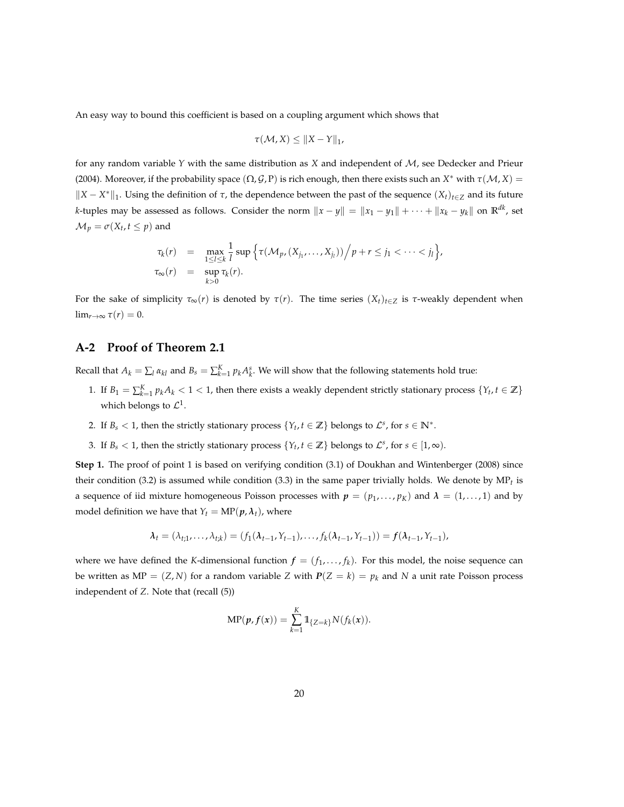An easy way to bound this coefficient is based on a coupling argument which shows that

$$
\tau(\mathcal{M}, X) \leq \|X - Y\|_1,
$$

for any random variable *Y* with the same distribution as *X* and independent of M, see Dedecker and Prieur (2004). Moreover, if the probability space  $(\Omega, \mathcal{G}, P)$  is rich enough, then there exists such an  $X^*$  with  $\tau(\mathcal{M}, X) =$  $||X - X^*||_1$ . Using the definition of  $\tau$ , the dependence between the past of the sequence  $(X_t)_{t \in \mathbb{Z}}$  and its future *k*-tuples may be assessed as follows. Consider the norm  $||x - y|| = ||x_1 - y_1|| + \cdots + ||x_k - y_k||$  on  $\mathbb{R}^{dk}$ , set  $\mathcal{M}_p = \sigma(X_t, t \leq p)$  and

$$
\tau_k(r) = \max_{1 \leq l \leq k} \frac{1}{l} \sup \Big\{ \tau(\mathcal{M}_p, (X_{j_1}, \dots, X_{j_l})) \Big/ p + r \leq j_1 < \dots < j_l \Big\},\
$$
\n
$$
\tau_\infty(r) = \sup_{k > 0} \tau_k(r).
$$

For the sake of simplicity  $\tau_{\infty}(r)$  is denoted by  $\tau(r)$ . The time series  $(X_t)_{t\in\mathbb{Z}}$  is  $\tau$ -weakly dependent when lim<sub>*r*→∞</sub>  $\tau(r) = 0$ .

### **A-2 Proof of Theorem 2.1**

Recall that  $A_k = \sum_l a_{kl}$  and  $B_s = \sum_{k=1}^K p_k A_k^s$ . We will show that the following statements hold true:

- 1. If  $B_1 = \sum_{k=1}^K p_k A_k < 1 < 1$ , then there exists a weakly dependent strictly stationary process  $\{Y_t, t \in \mathbb{Z}\}\$ which belongs to  $\mathcal{L}^1$ .
- 2. If  $B_s < 1$ , then the strictly stationary process  $\{Y_t, t \in \mathbb{Z}\}\$  belongs to  $\mathcal{L}^s$ , for  $s \in \mathbb{N}^*$ .
- 3. If  $B_s < 1$ , then the strictly stationary process  $\{Y_t, t \in \mathbb{Z}\}\$  belongs to  $\mathcal{L}^s$ , for  $s \in [1, \infty)$ .

**Step 1.** The proof of point 1 is based on verifying condition (3.1) of Doukhan and Wintenberger (2008) since their condition (3.2) is assumed while condition (3.3) in the same paper trivially holds. We denote by MP*t* is a sequence of iid mixture homogeneous Poisson processes with  $p = (p_1, \ldots, p_K)$  and  $\lambda = (1, \ldots, 1)$  and by model definition we have that  $Y_t = \text{MP}(p, \lambda_t)$ , where

$$
\lambda_t = (\lambda_{t,1}, \dots, \lambda_{t,k}) = (f_1(\lambda_{t-1}, Y_{t-1}), \dots, f_k(\lambda_{t-1}, Y_{t-1})) = f(\lambda_{t-1}, Y_{t-1}),
$$

where we have defined the *K*-dimensional function  $f = (f_1, \ldots, f_k)$ . For this model, the noise sequence can be written as  $MP = (Z, N)$  for a random variable *Z* with  $P(Z = k) = p_k$  and *N* a unit rate Poisson process independent of *Z*. Note that (recall (5))

$$
\text{MP}(p, f(x)) = \sum_{k=1}^{K} 1\!\!1_{\{Z=k\}} N(f_k(x)).
$$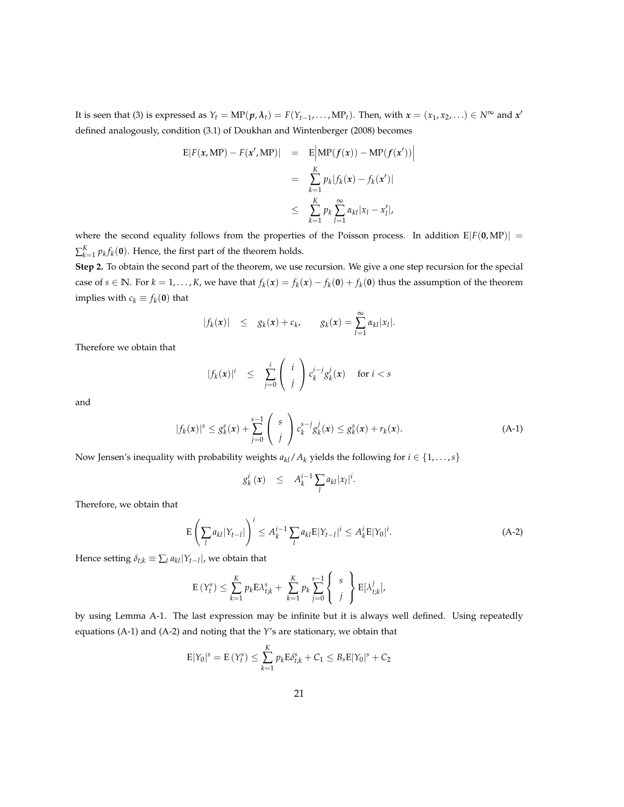It is seen that (3) is expressed as  $Y_t = MP(p, \lambda_t) = F(Y_{t-1}, \ldots, MP_t)$ . Then, with  $x = (x_1, x_2, \ldots) \in N^{\infty}$  and  $x'$ defined analogously, condition (3.1) of Doukhan and Wintenberger (2008) becomes

$$
E|F(x, MP) - F(x', MP)| = E\left|MP(f(x)) - MP(f(x'))\right|
$$
  

$$
= \sum_{k=1}^{K} p_k |f_k(x) - f_k(x')|
$$
  

$$
\leq \sum_{k=1}^{K} p_k \sum_{l=1}^{\infty} \alpha_{kl} |x_l - x'_l|,
$$

where the second equality follows from the properties of the Poisson process. In addition  $E|F(\mathbf{0}, MP)| =$  $\sum_{k=1}^{K} p_k f_k(\mathbf{0})$ . Hence, the first part of the theorem holds.

**Step 2.** To obtain the second part of the theorem, we use recursion. We give a one step recursion for the special case of  $s \in \mathbb{N}$ . For  $k = 1, ..., K$ , we have that  $f_k(x) = f_k(x) - f_k(0) + f_k(0)$  thus the assumption of the theorem implies with  $c_k \equiv f_k(\mathbf{0})$  that

$$
|f_k(x)| \leq g_k(x) + c_k, \qquad g_k(x) = \sum_{l=1}^{\infty} \alpha_{kl} |x_l|.
$$

Therefore we obtain that

$$
|f_k(x)|^i \leq \sum_{j=0}^i \binom{i}{j} c_k^{i-j} g_k^j(x) \quad \text{for } i < s
$$

and

$$
|f_k(x)|^s \leq g_k^s(x) + \sum_{j=0}^{s-1} \binom{s}{j} c_k^{s-j} g_k^j(x) \leq g_k^s(x) + r_k(x). \tag{A-1}
$$

Now Jensen's inequality with probability weights  $a_{kl}/A_k$  yields the following for  $i \in \{1, \ldots, s\}$ 

$$
g_k^i(x) \leq A_k^{i-1} \sum_l a_{kl} |x_l|^i.
$$

Therefore, we obtain that

$$
\mathcal{E}\left(\sum_{l} a_{kl} |Y_{t-l}|\right)^{i} \leq A_{k}^{i-1} \sum_{l} a_{kl} \mathcal{E}|Y_{t-l}|^{i} \leq A_{k}^{i} \mathcal{E}|Y_{0}|^{i}.
$$
 (A-2)

Hence setting  $\delta_{t;k} \equiv \sum_l a_{kl} |Y_{t-l}|$ , we obtain that

$$
\mathrm{E}\left(Y_t^s\right) \leq \sum_{k=1}^K p_k \mathrm{E} \lambda_{t,k}^s + \sum_{k=1}^K p_k \sum_{j=0}^{s-1} \left\{ \begin{array}{c} s \\ j \end{array} \right\} \mathrm{E}[\lambda_{t,k}^j],
$$

by using Lemma A-1. The last expression may be infinite but it is always well defined. Using repeatedly equations (A-1) and (A-2) and noting that the *Y*'s are stationary, we obtain that

$$
E|Y_0|^s = E(Y_t^s) \le \sum_{k=1}^K p_k E \delta_{t,k}^s + C_1 \le B_s E|Y_0|^s + C_2
$$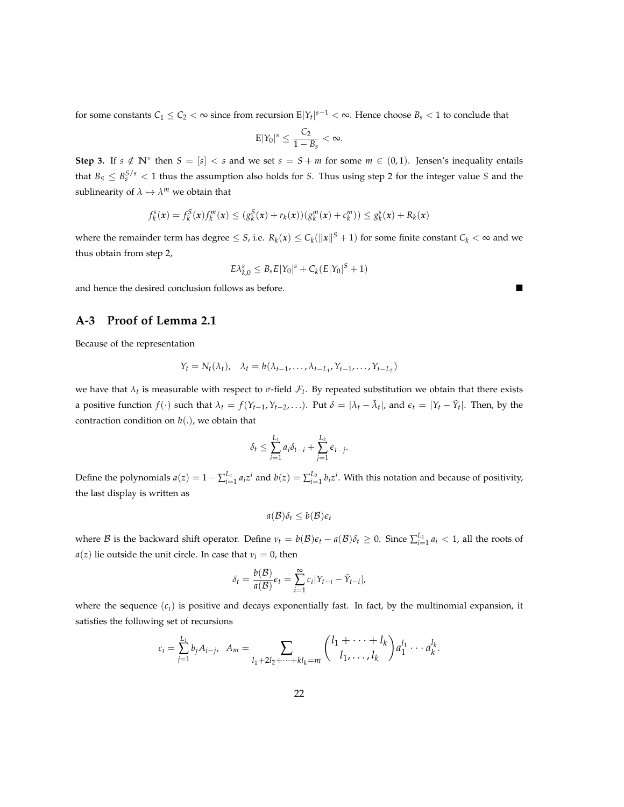for some constants  $C_1 \le C_2 < \infty$  since from recursion  $E|Y_t|^{s-1} < \infty$ . Hence choose  $B_s < 1$  to conclude that

$$
E|Y_0|^s\leq \frac{C_2}{1-B_s}<\infty.
$$

**Step 3.** If  $s \notin \mathbb{N}^*$  then  $S = [s] < s$  and we set  $s = S + m$  for some  $m \in (0, 1)$ . Jensen's inequality entails that  $B_S \leq B_S^{S/s} < 1$  thus the assumption also holds for *S*. Thus using step 2 for the integer value *S* and the sublinearity of  $\lambda \mapsto \lambda^m$  we obtain that

$$
f_k^s(x) = f_k^S(x)f_k^m(x) \le (g_k^S(x) + r_k(x))(g_k^m(x) + c_k^m)) \le g_k^s(x) + R_k(x)
$$

where the remainder term has degree  $\leq S$ , i.e.  $R_k(x) \leq C_k(\|x\|^S + 1)$  for some finite constant  $C_k < \infty$  and we thus obtain from step 2,

$$
E\lambda_{k,0}^s \leq B_s E|Y_0|^s + C_k (E|Y_0|^S + 1)
$$

and hence the desired conclusion follows as before.

### **A-3 Proof of Lemma 2.1**

Because of the representation

$$
Y_t = N_t(\lambda_t), \quad \lambda_t = h(\lambda_{t-1}, \dots, \lambda_{t-L_1}, Y_{t-1}, \dots, Y_{t-L_2})
$$

we have that  $\lambda_t$  is measurable with respect to  $\sigma$ -field  $\mathcal{F}_t$ . By repeated substitution we obtain that there exists a positive function  $f(\cdot)$  such that  $\lambda_t = f(Y_{t-1}, Y_{t-2}, \ldots)$ . Put  $\delta = |\lambda_t - \tilde{\lambda}_t|$ , and  $\epsilon_t = |Y_t - \tilde{Y}_t|$ . Then, by the contraction condition on *h*(.), we obtain that

$$
\delta_t \leq \sum_{i=1}^{L_1} a_i \delta_{t-i} + \sum_{j=1}^{L_2} \epsilon_{t-j}.
$$

Define the polynomials  $a(z) = 1 - \sum_{i=1}^{L_1} a_i z^i$  and  $b(z) = \sum_{i=1}^{L_2} b_i z^i$ . With this notation and because of positivity, the last display is written as

$$
a(\mathcal{B})\delta_t \leq b(\mathcal{B})\epsilon_t
$$

where B is the backward shift operator. Define  $v_t = b(\mathcal{B})\epsilon_t - a(\mathcal{B})\delta_t \geq 0$ . Since  $\sum_{i=1}^{L_1} a_i < 1$ , all the roots of *a*(*z*) lie outside the unit circle. In case that  $\nu_t = 0$ , then

$$
\delta_t = \frac{b(\mathcal{B})}{a(\mathcal{B})} \epsilon_t = \sum_{i=1}^{\infty} c_i |Y_{t-i} - \tilde{Y}_{t-i}|,
$$

where the sequence  $(c_i)$  is positive and decays exponentially fast. In fact, by the multinomial expansion, it satisfies the following set of recursions

$$
c_i = \sum_{j=1}^{L_1} b_j A_{i-j}, \quad A_m = \sum_{l_1 + 2l_2 + \dots + kl_k = m} {l_1 + \dots + l_k \choose l_1, \dots, l_k} a_1^{l_1} \cdots a_k^{l_k}.
$$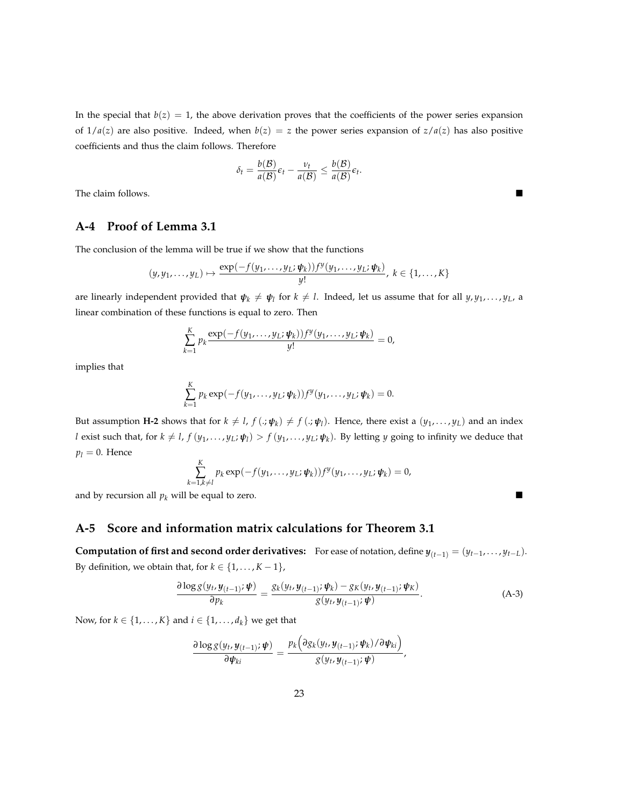In the special that  $b(z) = 1$ , the above derivation proves that the coefficients of the power series expansion of  $1/a(z)$  are also positive. Indeed, when  $b(z) = z$  the power series expansion of  $z/a(z)$  has also positive coefficients and thus the claim follows. Therefore

$$
\delta_t = \frac{b(\mathcal{B})}{a(\mathcal{B})} \epsilon_t - \frac{\nu_t}{a(\mathcal{B})} \leq \frac{b(\mathcal{B})}{a(\mathcal{B})} \epsilon_t.
$$

The claim follows.

### **A-4 Proof of Lemma 3.1**

The conclusion of the lemma will be true if we show that the functions

$$
(y,y_1,\ldots,y_L)\mapsto \frac{\exp(-f(y_1,\ldots,y_L;\boldsymbol{\psi}_k))f^y(y_1,\ldots,y_L;\boldsymbol{\psi}_k)}{y!},\ k\in\{1,\ldots,K\}
$$

are linearly independent provided that  $\pmb{\psi}_k\neq\pmb{\psi}_l$  for  $k\neq l.$  Indeed, let us assume that for all  $y,y_1,\ldots,y_L$ , a linear combination of these functions is equal to zero. Then

$$
\sum_{k=1}^K p_k \frac{\exp\left(-f(y_1,\ldots,y_L;\boldsymbol{\psi}_k)\right)f^y(y_1,\ldots,y_L;\boldsymbol{\psi}_k)}{y!} = 0,
$$

implies that

$$
\sum_{k=1}^K p_k \exp(-f(y_1,\ldots,y_L;\boldsymbol{\psi}_k))f^y(y_1,\ldots,y_L;\boldsymbol{\psi}_k)=0.
$$

But assumption **H-2** shows that for  $k \neq l$ ,  $f(.;\psi_k) \neq f(.;\psi_l)$ . Hence, there exist a  $(y_1,\ldots,y_L)$  and an index l exist such that, for  $k \neq l$ ,  $f(y_1,\ldots,y_L;\psi_l) > f(y_1,\ldots,y_L;\psi_k)$ . By letting y going to infinity we deduce that  $p_l = 0$ . Hence

$$
\sum_{k=1,k\neq l}^K p_k \exp(-f(y_1,\ldots,y_L;\boldsymbol{\psi}_k))f^y(y_1,\ldots,y_L;\boldsymbol{\psi}_k)=0,
$$

and by recursion all  $p_k$  will be equal to zero.

### **A-5 Score and information matrix calculations for Theorem 3.1**

**Computation of first and second order derivatives:** For ease of notation, define  $y_{(t-1)} = (y_{t-1}, \ldots, y_{t-L})$ . By definition, we obtain that, for  $k \in \{1, \ldots, K-1\}$ ,

$$
\frac{\partial \log g(y_t, y_{(t-1)}; \boldsymbol{\psi})}{\partial p_k} = \frac{g_k(y_t, y_{(t-1)}; \boldsymbol{\psi}_k) - g_K(y_t, y_{(t-1)}; \boldsymbol{\psi}_k)}{g(y_t, y_{(t-1)}; \boldsymbol{\psi})}.
$$
(A-3)

Now, for *k* ∈ {1, . . . , *K*} and *i* ∈ {1, . . . , *d<sub>k</sub>*} we get that

$$
\frac{\partial \log g(y_t, y_{(t-1)}; \boldsymbol{\psi})}{\partial \psi_{ki}} = \frac{p_k \left( \partial g_k(y_t, y_{(t-1)}; \boldsymbol{\psi}_k) / \partial \psi_{ki} \right)}{g(y_t, y_{(t-1)}; \boldsymbol{\psi})},
$$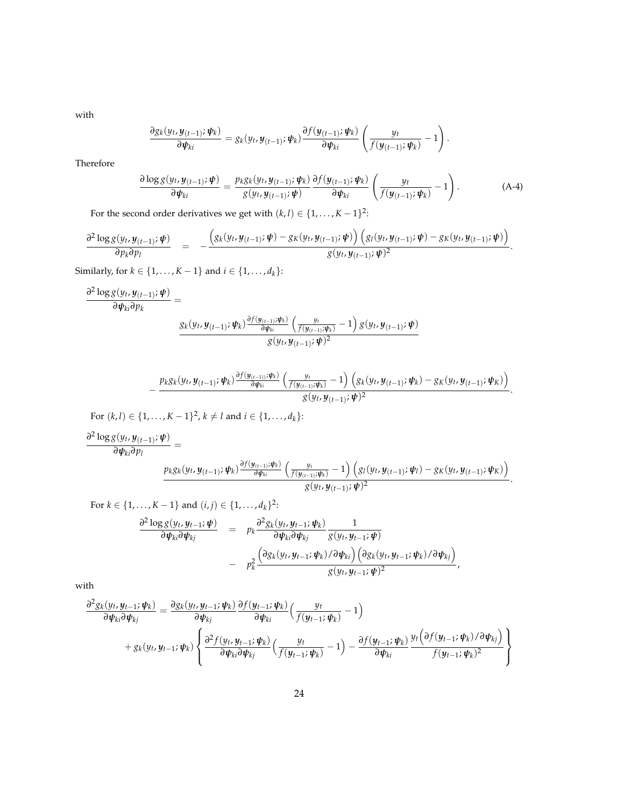with

$$
\frac{\partial g_k(y_t, y_{(t-1)}; \psi_k)}{\partial \psi_{ki}} = g_k(y_t, y_{(t-1)}; \psi_k) \frac{\partial f(y_{(t-1)}; \psi_k)}{\partial \psi_{ki}} \left( \frac{y_t}{f(y_{(t-1)}; \psi_k)} - 1 \right).
$$

Therefore

$$
\frac{\partial \log g(y_t, y_{(t-1)}; \boldsymbol{\psi})}{\partial \boldsymbol{\psi}_{ki}} = \frac{p_k g_k(y_t, y_{(t-1)}; \boldsymbol{\psi}_k)}{g(y_t, y_{(t-1)}; \boldsymbol{\psi})} \frac{\partial f(y_{(t-1)}; \boldsymbol{\psi}_k)}{\partial \boldsymbol{\psi}_{ki}} \left( \frac{y_t}{f(y_{(t-1)}; \boldsymbol{\psi}_k)} - 1 \right). \tag{A-4}
$$

For the second order derivatives we get with  $(k, l) \in \{1, ..., K - 1\}^2$ :

$$
\frac{\partial^2 \log g(y_t, y_{(t-1)}; \boldsymbol{\psi})}{\partial p_k \partial p_l} = - \frac{\left(g_k(y_t, y_{(t-1)}; \boldsymbol{\psi}) - g_k(y_t, y_{(t-1)}; \boldsymbol{\psi})\right)\left(g_l(y_t, y_{(t-1)}; \boldsymbol{\psi}) - g_k(y_t, y_{(t-1)}; \boldsymbol{\psi})\right)}{g(y_t, y_{(t-1)}; \boldsymbol{\psi})^2}.
$$

Similarly, for *k* ∈ {1, . . . , *K* − 1} and *i* ∈ {1, . . . , *d*<sub>*k*</sub>}:

$$
\frac{\partial^2 \log g(y_t, y_{(t-1)}; \boldsymbol{\psi})}{\partial \boldsymbol{\psi}_{ki} \partial p_k} = \frac{g_k(y_t, y_{(t-1)}; \boldsymbol{\psi}_k) \frac{\partial f(y_{(t-1)}; \boldsymbol{\psi}_k)}{\partial \boldsymbol{\psi}_{ki}} \left( \frac{y_t}{f(y_{(t-1)}; \boldsymbol{\psi}_k)} - 1 \right) g(y_t, y_{(t-1)}; \boldsymbol{\psi})}{g(y_t, y_{(t-1)}; \boldsymbol{\psi})^2}
$$

$$
-\frac{p_kg_k(y_t,\boldsymbol{y}_{(t-1)};\boldsymbol{\psi}_k)\frac{\partial f(\boldsymbol{y}_{(t-1)};\boldsymbol{\psi}_k)}{\partial \boldsymbol{\psi}_{ki}}\left(\frac{y_t}{f(\boldsymbol{y}_{(t-1)};\boldsymbol{\psi}_k)}-1\right)\left(g_k(y_t,\boldsymbol{y}_{(t-1)};\boldsymbol{\psi}_k)-g_k(y_t,\boldsymbol{y}_{(t-1)};\boldsymbol{\psi}_k)\right)}{g(y_t,\boldsymbol{y}_{(t-1)};\boldsymbol{\psi})^2}.
$$

For  $(k, l) \in \{1, \ldots, K-1\}^2$ ,  $k \neq l$  and  $i \in \{1, \ldots, d_k\}$ :

$$
\frac{\partial^2 \log g(y_t, y_{(t-1)}; \boldsymbol{\psi})}{\partial \psi_{ki} \partial p_l} = \frac{p_{k}g_k(y_t, y_{(t-1)}; \boldsymbol{\psi}_k) \frac{\partial f(y_{(t-1)}; \boldsymbol{\psi}_k)}{\partial \psi_{ki}} \left( \frac{y_t}{f(y_{(t-1)}; \boldsymbol{\psi}_k)} - 1 \right) \left( g_l(y_t, y_{(t-1)}; \boldsymbol{\psi}_l) - g_K(y_t, y_{(t-1)}; \boldsymbol{\psi}_K) \right)}{g(y_t, y_{(t-1)}; \boldsymbol{\psi})^2}.
$$

For 
$$
k \in \{1, ..., K-1\}
$$
 and  $(i, j) \in \{1, ..., d_k\}^2$ :  
\n
$$
\frac{\partial^2 \log g(y_t, y_{t-1}; \psi)}{\partial \psi_{ki} \partial \psi_{kj}} = p_k \frac{\partial^2 g_k(y_t, y_{t-1}; \psi_k)}{\partial \psi_{ki} \partial \psi_{kj}} \frac{1}{g(y_t, y_{t-1}; \psi)}
$$
\n
$$
- p_k^2 \frac{\left(\partial g_k(y_t, y_{t-1}; \psi_k)/\partial \psi_{ki}\right) \left(\partial g_k(y_t, y_{t-1}; \psi_k)/\partial \psi_{kj}\right)}{g(y_t, y_{t-1}; \psi)^2},
$$

with

$$
\frac{\partial^2 g_k(y_t, y_{t-1}; \psi_k)}{\partial \psi_{ki} \partial \psi_{kj}} = \frac{\partial g_k(y_t, y_{t-1}; \psi_k)}{\partial \psi_{kj}} \frac{\partial f(y_{t-1}; \psi_k)}{\partial \psi_{ki}} \left( \frac{y_t}{f(y_{t-1}; \psi_k)} - 1 \right) \n+ g_k(y_t, y_{t-1}; \psi_k) \left\{ \frac{\partial^2 f(y_t, y_{t-1}; \psi_k)}{\partial \psi_{ki} \partial \psi_{kj}} \left( \frac{y_t}{f(y_{t-1}; \psi_k)} - 1 \right) - \frac{\partial f(y_{t-1}; \psi_k)}{\partial \psi_{ki}} \frac{y_t \left( \partial f(y_{t-1}; \psi_k) / \partial \psi_{kj} \right)}{f(y_{t-1}; \psi_k)^2} \right\}
$$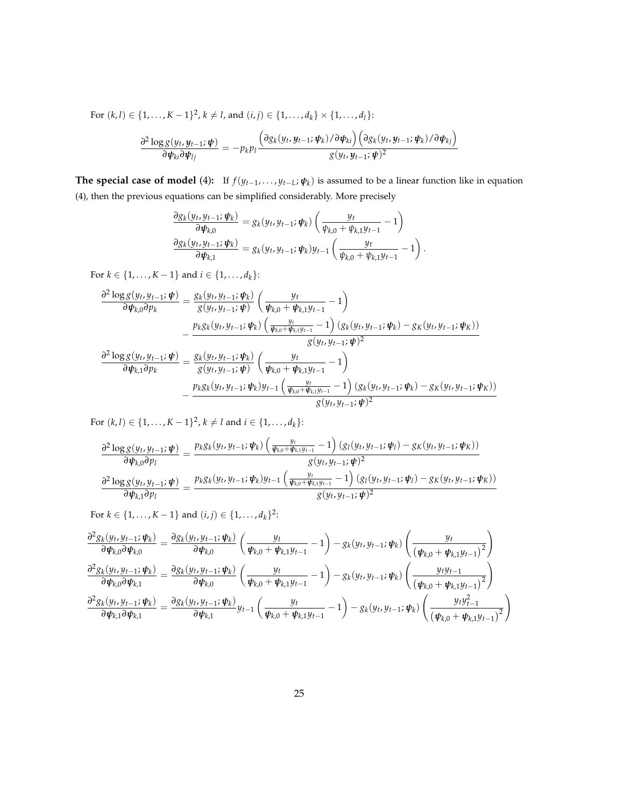For 
$$
(k, l) \in \{1, ..., K-1\}^2
$$
,  $k \neq l$ , and  $(i, j) \in \{1, ..., d_k\} \times \{1, ..., d_1\}$ :  
\n
$$
\frac{\partial^2 \log g(y_t, y_{t-1}; \psi)}{\partial \psi_{ki} \partial \psi_{lj}} = -p_k p_l \frac{\left(\partial g_k(y_t, y_{t-1}; \psi_k)/\partial \psi_{ki}\right) \left(\partial g_k(y_t, y_{t-1}; \psi_k)/\partial \psi_{kj}\right)}{g(y_t, y_{t-1}; \psi)^2}
$$

**The special case of model** (4): If  $f(y_{t-1},...,y_{t-L}; \psi_k)$  is assumed to be a linear function like in equation (4), then the previous equations can be simplified considerably. More precisely

$$
\frac{\partial g_k(y_t, y_{t-1}; \psi_k)}{\partial \psi_{k,0}} = g_k(y_t, y_{t-1}; \psi_k) \left( \frac{y_t}{\psi_{k,0} + \psi_{k,1} y_{t-1}} - 1 \right) \n\frac{\partial g_k(y_t, y_{t-1}; \psi_k)}{\partial \psi_{k,1}} = g_k(y_t, y_{t-1}; \psi_k) y_{t-1} \left( \frac{y_t}{\psi_{k,0} + \psi_{k,1} y_{t-1}} - 1 \right).
$$

For *k* ∈ {1, . . . , *K* − 1} and *i* ∈ {1, . . . , *d*<sub>*k*</sub>}:

$$
\frac{\partial^2 \log g(y_t, y_{t-1}; \psi)}{\partial \psi_{k,0} \partial p_k} = \frac{g_k(y_t, y_{t-1}; \psi_k)}{g(y_t, y_{t-1}; \psi)} \left( \frac{y_t}{\psi_{k,0} + \psi_{k,1} y_{t-1}} - 1 \right)
$$

$$
- \frac{p_k g_k(y_t, y_{t-1}; \psi_k) \left( \frac{y_t}{\psi_{k,0} + \psi_{k,1} y_{t-1}} - 1 \right) (g_k(y_t, y_{t-1}; \psi_k) - g_k(y_t, y_{t-1}; \psi_k))}{g(y_t, y_{t-1}; \psi)^2}
$$

$$
\frac{\partial^2 \log g(y_t, y_{t-1}; \psi)}{\partial \psi_{k,1} \partial p_k} = \frac{g_k(y_t, y_{t-1}; \psi_k)}{g(y_t, y_{t-1}; \psi)} \left( \frac{y_t}{\psi_{k,0} + \psi_{k,1} y_{t-1}} - 1 \right) \n- \frac{p_k g_k(y_t, y_{t-1}; \psi_k) y_{t-1} \left( \frac{y_t}{\psi_{k,0} + \psi_{k,1} y_{t-1}} - 1 \right) (g_k(y_t, y_{t-1}; \psi_k) - g_K(y_t, y_{t-1}; \psi_k))}{g(y_t, y_{t-1}; \psi)^2}
$$

For  $(k, l) \in \{1, \ldots, K-1\}^2$ ,  $k \neq l$  and  $i \in \{1, \ldots, d_k\}$ :

$$
\frac{\partial^2 \log g(y_t, y_{t-1}; \psi)}{\partial \psi_{k,0} \partial p_l} = \frac{p_k g_k(y_t, y_{t-1}; \psi_k) \left( \frac{y_t}{\psi_{k,0} + \psi_{k,1} y_{t-1}} - 1 \right) (g_l(y_t, y_{t-1}; \psi_l) - g_K(y_t, y_{t-1}; \psi_K))}{g(y_t, y_{t-1}; \psi)^2}
$$

$$
\frac{\partial^2 \log g(y_t, y_{t-1}; \psi)}{\partial \psi_{k,1} \partial p_l} = \frac{p_k g_k(y_t, y_{t-1}; \psi_k) y_{t-1} \left( \frac{y_t}{\psi_{k,0} + \psi_{k,1} y_{t-1}} - 1 \right) (g_l(y_t, y_{t-1}; \psi_l) - g_K(y_t, y_{t-1}; \psi_K))}{g(y_t, y_{t-1}; \psi)^2}
$$

For  $k \in \{1, ..., K-1\}$  and  $(i, j) \in \{1, ..., d_k\}^2$ :

$$
\frac{\partial^2 g_k(y_t, y_{t-1}; \psi_k)}{\partial \psi_{k,0} \partial \psi_{k,0}} = \frac{\partial g_k(y_t, y_{t-1}; \psi_k)}{\partial \psi_{k,0}} \left( \frac{y_t}{\psi_{k,0} + \psi_{k,1} y_{t-1}} - 1 \right) - g_k(y_t, y_{t-1}; \psi_k) \left( \frac{y_t}{(\psi_{k,0} + \psi_{k,1} y_{t-1})^2} \right)
$$
\n
$$
\frac{\partial^2 g_k(y_t, y_{t-1}; \psi_k)}{\partial \psi_{k,0} \partial \psi_{k,1}} = \frac{\partial g_k(y_t, y_{t-1}; \psi_k)}{\partial \psi_{k,0}} \left( \frac{y_t}{\psi_{k,0} + \psi_{k,1} y_{t-1}} - 1 \right) - g_k(y_t, y_{t-1}; \psi_k) \left( \frac{y_t y_{t-1}}{(\psi_{k,0} + \psi_{k,1} y_{t-1})^2} \right)
$$
\n
$$
\frac{\partial^2 g_k(y_t, y_{t-1}; \psi_k)}{\partial \psi_{k,1} \partial \psi_{k,1}} = \frac{\partial g_k(y_t, y_{t-1}; \psi_k)}{\partial \psi_{k,1}} y_{t-1} \left( \frac{y_t}{\psi_{k,0} + \psi_{k,1} y_{t-1}} - 1 \right) - g_k(y_t, y_{t-1}; \psi_k) \left( \frac{y_t y_{t-1}^2}{(\psi_{k,0} + \psi_{k,1} y_{t-1})^2} \right)
$$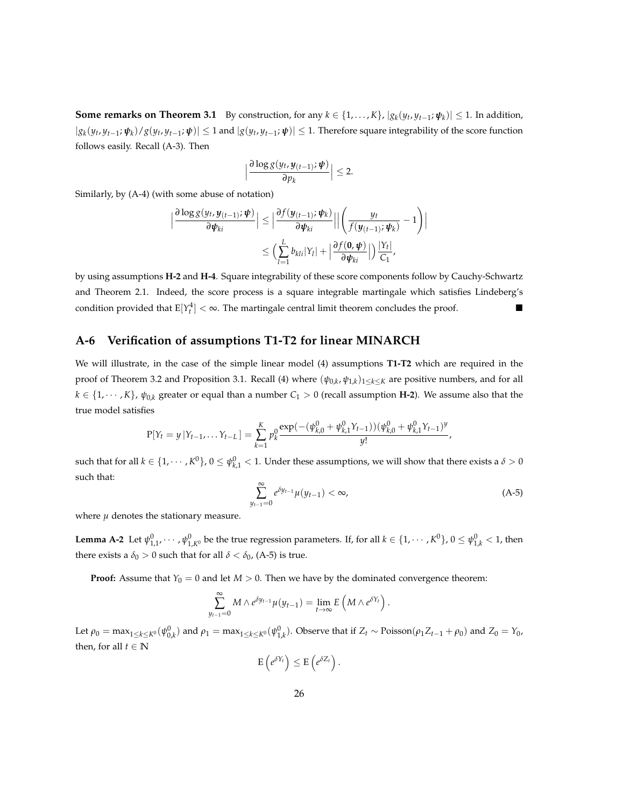**Some remarks on Theorem 3.1** By construction, for any  $k \in \{1, ..., K\}$ ,  $|g_k(y_t, y_{t-1}; \psi_k)| \leq 1$ . In addition,  $|g_k(y_t,y_{t-1};\boldsymbol{\psi}_k)/g(y_t,y_{t-1};\boldsymbol{\psi})| \le 1$  and  $|g(y_t,y_{t-1};\boldsymbol{\psi})| \le 1$ . Therefore square integrability of the score function follows easily. Recall (A-3). Then

$$
\Big|\frac{\partial \log g(y_t, y_{(t-1)}; \boldsymbol{\psi})}{\partial p_k}\Big| \leq 2.
$$

Similarly, by (A-4) (with some abuse of notation)

$$
\left|\frac{\partial \log g(y_t, y_{(t-1)}; \boldsymbol{\psi})}{\partial \boldsymbol{\psi}_{ki}}\right| \leq \left|\frac{\partial f(y_{(t-1)}; \boldsymbol{\psi}_k)}{\partial \boldsymbol{\psi}_{ki}}\right| \left|\left(\frac{y_t}{f(y_{(t-1)}; \boldsymbol{\psi}_k)} - 1\right)\right|
$$
  

$$
\leq \left(\sum_{l=1}^L b_{kli} |Y_l| + \left|\frac{\partial f(\mathbf{0}, \boldsymbol{\psi})}{\partial \boldsymbol{\psi}_{ki}}\right|\right) \frac{|Y_t|}{C_1},
$$

by using assumptions **H-2** and **H-4**. Square integrability of these score components follow by Cauchy-Schwartz and Theorem 2.1. Indeed, the score process is a square integrable martingale which satisfies Lindeberg's condition provided that  $E[Y_t^4] < \infty$ . The martingale central limit theorem concludes the proof.

#### **A-6 Verification of assumptions T1-T2 for linear MINARCH**

We will illustrate, in the case of the simple linear model (4) assumptions **T1-T2** which are required in the proof of Theorem 3.2 and Proposition 3.1. Recall (4) where (*ψ*0,*<sup>k</sup>* , *ψ*1,*<sup>k</sup>* )1≤*k*≤*<sup>K</sup>* are positive numbers, and for all  $k \in \{1, \dots, K\}$ ,  $\psi_{0,k}$  greater or equal than a number  $C_1 > 0$  (recall assumption **H-2**). We assume also that the true model satisfies

$$
P[Y_t = y | Y_{t-1}, \dots Y_{t-L}] = \sum_{k=1}^{K} p_k^0 \frac{\exp(-( \psi_{k,0}^0 + \psi_{k,1}^0 Y_{t-1})) (\psi_{k,0}^0 + \psi_{k,1}^0 Y_{t-1})^y}{y!},
$$

such that for all  $k\in\{1,\cdots,K^0\}$ ,  $0\leq\psi_{k,1}^0< 1.$  Under these assumptions, we will show that there exists a  $\delta>0$ such that:

$$
\sum_{y_{t-1}=0}^{\infty} e^{\delta y_{t-1}} \mu(y_{t-1}) < \infty,\tag{A-5}
$$

where  $\mu$  denotes the stationary measure.

**Lemma A-2** Let  $\psi_{1,1}^0$ ,  $\cdots$  ,  $\psi_{1,K^0}^0$  be the true regression parameters. If, for all  $k\in\{1,\cdots,K^0\}$ ,  $0\leq\psi_{1,k}^0< 1$ , then there exists a  $\delta_0 > 0$  such that for all  $\delta < \delta_0$ , (A-5) is true.

**Proof:** Assume that  $Y_0 = 0$  and let  $M > 0$ . Then we have by the dominated convergence theorem:

$$
\sum_{y_{t-1}=0}^{\infty} M \wedge e^{\delta y_{t-1}} \mu(y_{t-1}) = \lim_{t \to \infty} E\left(M \wedge e^{\delta Y_t}\right).
$$

Let  $\rho_0=\max_{1\leq k\leq K^0}(\psi_{0,k}^0)$  and  $\rho_1=\max_{1\leq k\leq K^0}(\psi_{1,k}^0).$  Observe that if  $Z_t\sim \text{Poisson}(\rho_1 Z_{t-1}+\rho_0)$  and  $Z_0=Y_0$ , then, for all  $t \in \mathbb{N}$ 

$$
\mathrm{E}\left(e^{\delta Y_t}\right)\leq \mathrm{E}\left(e^{\delta Z_t}\right).
$$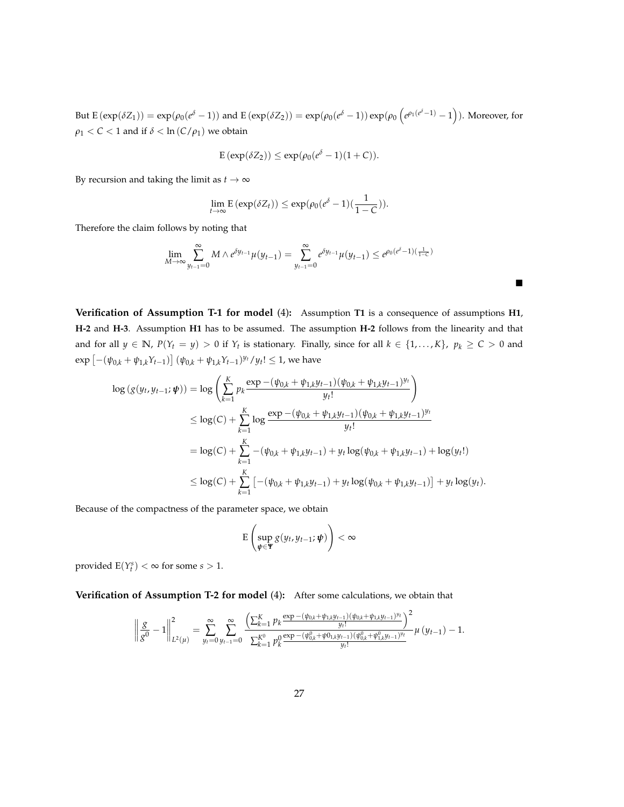But  $E(\exp(\delta Z_1)) = \exp(\rho_0(e^{\delta} - 1))$  and  $E(\exp(\delta Z_2)) = \exp(\rho_0(e^{\delta} - 1)) \exp(\rho_0(e^{\rho_1(e^{\delta} - 1)} - 1)).$  Moreover, for *ρ*<sub>1</sub> < *C* < 1 and if *δ* < ln (*C*/*ρ*<sub>1</sub>) we obtain

$$
E(\exp(\delta Z_2)) \le \exp(\rho_0(e^{\delta}-1)(1+C)).
$$

By recursion and taking the limit as  $t \to \infty$ 

$$
\lim_{t\to\infty} \mathbf{E} \left( \exp(\delta Z_t) \right) \leq \exp(\rho_0 (e^{\delta} - 1) (\frac{1}{1 - C})).
$$

Therefore the claim follows by noting that

$$
\lim_{M \to \infty} \sum_{y_{t-1}=0}^{\infty} M \wedge e^{\delta y_{t-1}} \mu(y_{t-1}) = \sum_{y_{t-1}=0}^{\infty} e^{\delta y_{t-1}} \mu(y_{t-1}) \le e^{\rho_0 (e^{\delta} - 1)(\frac{1}{1-c})}
$$

 $\blacksquare$ 

**Verification of Assumption T-1 for model** (4)**:** Assumption **T1** is a consequence of assumptions **H1**, **H-2** and **H-3**. Assumption **H1** has to be assumed. The assumption **H-2** follows from the linearity and that and for all  $y \in \mathbb{N}$ ,  $P(Y_t = y) > 0$  if  $Y_t$  is stationary. Finally, since for all  $k \in \{1, ..., K\}$ ,  $p_k \ge C > 0$  and  $\exp \left[ -(\psi_{0,k} + \psi_{1,k}Y_{t-1}) \right] (\psi_{0,k} + \psi_{1,k}Y_{t-1})^{y_t}/y_t! \leq 1$ , we have

$$
\log (g(y_t, y_{t-1}; \boldsymbol{\psi})) = \log \left( \sum_{k=1}^K p_k \frac{\exp - (\psi_{0,k} + \psi_{1,k}y_{t-1})(\psi_{0,k} + \psi_{1,k}y_{t-1})^{y_t}}{y_t!} \right)
$$
  
\n
$$
\leq \log(C) + \sum_{k=1}^K \log \frac{\exp - (\psi_{0,k} + \psi_{1,k}y_{t-1})(\psi_{0,k} + \psi_{1,k}y_{t-1})^{y_t}}{y_t!}
$$
  
\n
$$
= \log(C) + \sum_{k=1}^K -(\psi_{0,k} + \psi_{1,k}y_{t-1}) + y_t \log(\psi_{0,k} + \psi_{1,k}y_{t-1}) + \log(y_t!)
$$
  
\n
$$
\leq \log(C) + \sum_{k=1}^K \left[ -(\psi_{0,k} + \psi_{1,k}y_{t-1}) + y_t \log(\psi_{0,k} + \psi_{1,k}y_{t-1}) \right] + y_t \log(y_t).
$$

Because of the compactness of the parameter space, we obtain

$$
\mathrm{E}\left(\sup_{\boldsymbol{\psi}\in\mathbf{\Psi}}g(y_t,y_{t-1};\boldsymbol{\psi})\right)<\infty
$$

provided  $E(Y_t^s) < \infty$  for some  $s > 1$ .

**Verification of Assumption T-2 for model** (4)**:** After some calculations, we obtain that

$$
\left\|\frac{g}{g^0}-1\right\|_{L^2(\mu)}^2=\sum_{y_t=0}^{\infty}\sum_{y_{t-1}=0}^{\infty}\frac{\left(\sum_{k=1}^K p_k\frac{\exp-(\psi_{0,k}+\psi_{1,k}y_{t-1})(\psi_{0,k}+\psi_{1,k}y_{t-1})y_t}{y_t!}\right)^2}{\sum_{k=1}^{K^0}p_k^0\frac{\exp-(\psi_{0,k}^0+\psi_{0,k}y_{t-1})(\psi_{0,k}^0+\psi_{1,k}^0y_{t-1})y_t}{y_t!}}\mu\left(y_{t-1}\right)-1.
$$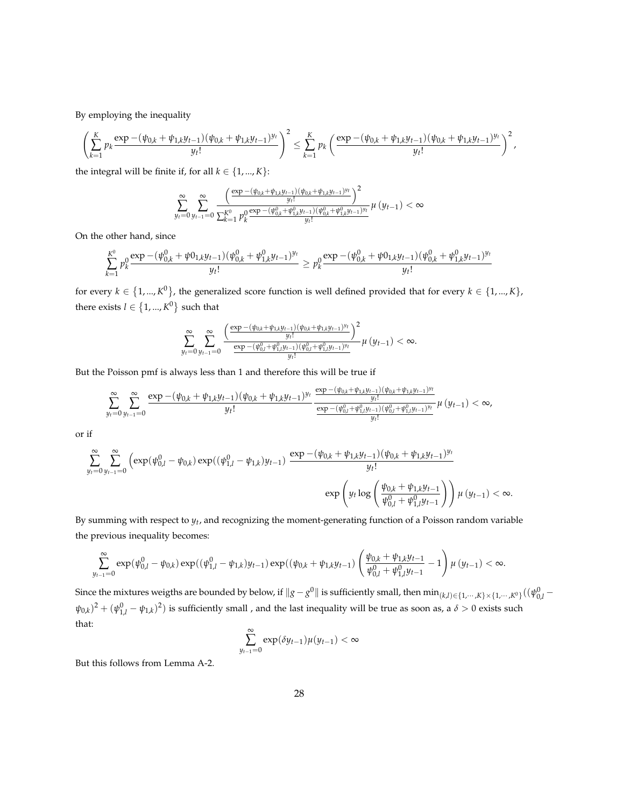By employing the inequality

$$
\left(\sum_{k=1}^K p_k \frac{\exp - (\psi_{0,k} + \psi_{1,k}y_{t-1})(\psi_{0,k} + \psi_{1,k}y_{t-1})^{y_t}}{y_t!}\right)^2 \leq \sum_{k=1}^K p_k \left(\frac{\exp - (\psi_{0,k} + \psi_{1,k}y_{t-1})(\psi_{0,k} + \psi_{1,k}y_{t-1})^{y_t}}{y_t!}\right)^2,
$$

the integral will be finite if, for all  $k \in \{1, ..., K\}$ :

$$
\sum_{y_t=0}^{\infty} \sum_{y_{t-1}=0}^{\infty} \frac{\left(\frac{\exp{-(\psi_{0,k}+\psi_{1,k}y_{t-1})(\psi_{0,k}+\psi_{1,k}y_{t-1})^{y_t}}{y_t!}\right)^2}{\sum_{k=1}^{K^0} p_k^0 \frac{\exp{-(\psi_{0,k}^0+\psi_{1,k}^0y_{t-1})(\psi_{0,k}^0+\psi_{1,k}^0y_{t-1})^{y_t}}{y_t!}} \mu\left(y_{t-1}\right) < \infty
$$

On the other hand, since

$$
\sum_{k=1}^{K^0} p_k^0\frac{\exp{-(\psi^0_{0,k}+\psi 0_{1,k}y_{t-1})(\psi^0_{0,k}+\psi^0_{1,k}y_{t-1})^{y_t}}}{y_t!}\geq p_k^0\frac{\exp{-(\psi^0_{0,k}+\psi 0_{1,k}y_{t-1})(\psi^0_{0,k}+\psi^0_{1,k}y_{t-1})^{y_t}}}{y_t!}
$$

for every  $k \in \{1, ..., K^0\}$ , the generalized score function is well defined provided that for every  $k \in \{1, ..., K\}$ , there exists  $l \in \{1, ..., K^0\}$  such that

$$
\sum_{y_t=0}^{\infty} \sum_{y_{t-1}=0}^{\infty} \frac{\left(\frac{\exp - (\psi_{0,k} + \psi_{1,k}y_{t-1})(\psi_{0,k} + \psi_{1,k}y_{t-1})^{y_t}}{y_t!}\right)^2}{\frac{\exp - (\psi_{0,l}^0 + \psi_{1,l}^0y_{t-1})(\psi_{0,l}^0 + \psi_{1,l}^0y_{t-1})^{y_t}}{y_t!}} \mu\left(y_{t-1}\right) < \infty.
$$

But the Poisson pmf is always less than 1 and therefore this will be true if

$$
\sum_{y_t=0}^{\infty}\sum_{y_{t-1}=0}^{\infty}\frac{\exp{-(\psi_{0,k}+\psi_{1,k}y_{t-1})(\psi_{0,k}+\psi_{1,k}y_{t-1})^{y_t}}{y_t!}}{y_t!}\frac{\frac{\exp{-(\psi_{0,k}+\psi_{1,k}y_{t-1})(\psi_{0,k}+\psi_{1,k}y_{t-1})^{y_t}}{y_t!}}{\frac{\exp{-(\psi_{0,l}^0+\psi_{1,l}^0y_{t-1})(\psi_{0,l}^0+\psi_{1,l}^0y_{t-1})^{y_t}}{y_t!}}}\mu\left(y_{t-1}\right)<\infty,
$$

or if

$$
\sum_{y_t=0}^{\infty} \sum_{y_{t-1}=0}^{\infty} \left( \exp(\psi_{0,l}^0 - \psi_{0,k}) \exp((\psi_{1,l}^0 - \psi_{1,k})y_{t-1}) \frac{\exp - (\psi_{0,k} + \psi_{1,k}y_{t-1})(\psi_{0,k} + \psi_{1,k}y_{t-1})y_t}{y_t!} \right)
$$

$$
\exp\left(y_t \log\left(\frac{\psi_{0,k} + \psi_{1,k}y_{t-1}}{\psi_{0,l}^0 + \psi_{1,l}^0 y_{t-1}}\right)\right) \mu\left(y_{t-1}\right) < \infty.
$$

By summing with respect to *yt* , and recognizing the moment-generating function of a Poisson random variable the previous inequality becomes:

$$
\sum_{y_{t-1}=0}^{\infty} \exp(\psi_{0,l}^0 - \psi_{0,k}) \exp((\psi_{1,l}^0 - \psi_{1,k})y_{t-1}) \exp((\psi_{0,k} + \psi_{1,k}y_{t-1}) \left( \frac{\psi_{0,k} + \psi_{1,k}y_{t-1}}{\psi_{0,l}^0 + \psi_{1,l}^0 y_{t-1}} - 1 \right) \mu(y_{t-1}) < \infty.
$$

Since the mixtures weigths are bounded by below, if  $\|g-g^0\|$  is sufficiently small, then  $\min_{(k,l)\in\{1,\cdots,K\}\times\{1,\cdots,K^0\}}((\psi^0_{0,l} (\psi_{0,k})^2 + (\psi_{1,l}^0 - \psi_{1,k})^2$ ) is sufficiently small , and the last inequality will be true as soon as, a  $\delta > 0$  exists such that:

$$
\sum_{y_{t-1}=0}^{\infty} \exp(\delta y_{t-1}) \mu(y_{t-1}) < \infty
$$

But this follows from Lemma A-2.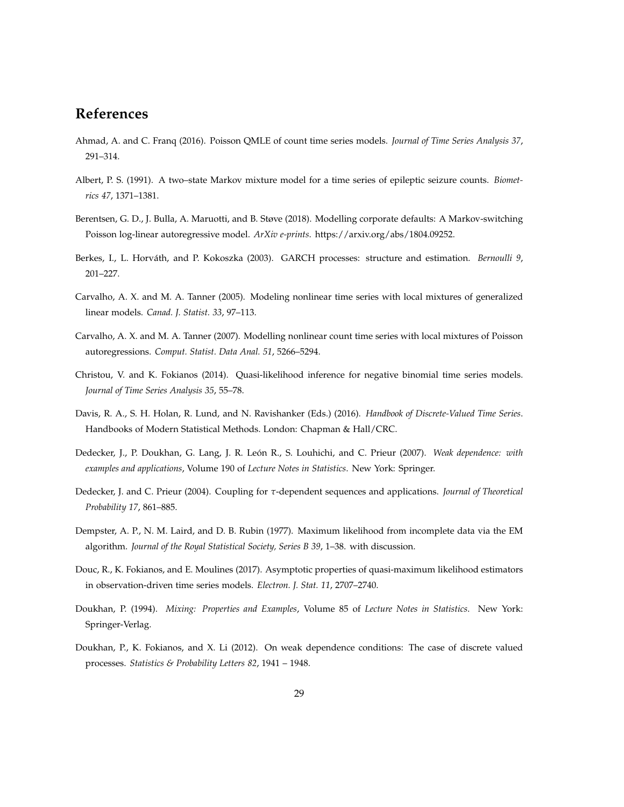# **References**

- Ahmad, A. and C. Franq (2016). Poisson QMLE of count time series models. *Journal of Time Series Analysis 37*, 291–314.
- Albert, P. S. (1991). A two–state Markov mixture model for a time series of epileptic seizure counts. *Biometrics 47*, 1371–1381.
- Berentsen, G. D., J. Bulla, A. Maruotti, and B. Støve (2018). Modelling corporate defaults: A Markov-switching Poisson log-linear autoregressive model. *ArXiv e-prints*. https://arxiv.org/abs/1804.09252.
- Berkes, I., L. Horváth, and P. Kokoszka (2003). GARCH processes: structure and estimation. *Bernoulli 9*, 201–227.
- Carvalho, A. X. and M. A. Tanner (2005). Modeling nonlinear time series with local mixtures of generalized linear models. *Canad. J. Statist. 33*, 97–113.
- Carvalho, A. X. and M. A. Tanner (2007). Modelling nonlinear count time series with local mixtures of Poisson autoregressions. *Comput. Statist. Data Anal. 51*, 5266–5294.
- Christou, V. and K. Fokianos (2014). Quasi-likelihood inference for negative binomial time series models. *Journal of Time Series Analysis 35*, 55–78.
- Davis, R. A., S. H. Holan, R. Lund, and N. Ravishanker (Eds.) (2016). *Handbook of Discrete-Valued Time Series*. Handbooks of Modern Statistical Methods. London: Chapman & Hall/CRC.
- Dedecker, J., P. Doukhan, G. Lang, J. R. León R., S. Louhichi, and C. Prieur (2007). *Weak dependence: with examples and applications*, Volume 190 of *Lecture Notes in Statistics*. New York: Springer.
- Dedecker, J. and C. Prieur (2004). Coupling for *τ*-dependent sequences and applications. *Journal of Theoretical Probability 17*, 861–885.
- Dempster, A. P., N. M. Laird, and D. B. Rubin (1977). Maximum likelihood from incomplete data via the EM algorithm. *Journal of the Royal Statistical Society, Series B 39*, 1–38. with discussion.
- Douc, R., K. Fokianos, and E. Moulines (2017). Asymptotic properties of quasi-maximum likelihood estimators in observation-driven time series models. *Electron. J. Stat. 11*, 2707–2740.
- Doukhan, P. (1994). *Mixing: Properties and Examples*, Volume 85 of *Lecture Notes in Statistics*. New York: Springer-Verlag.
- Doukhan, P., K. Fokianos, and X. Li (2012). On weak dependence conditions: The case of discrete valued processes. *Statistics & Probability Letters 82*, 1941 – 1948.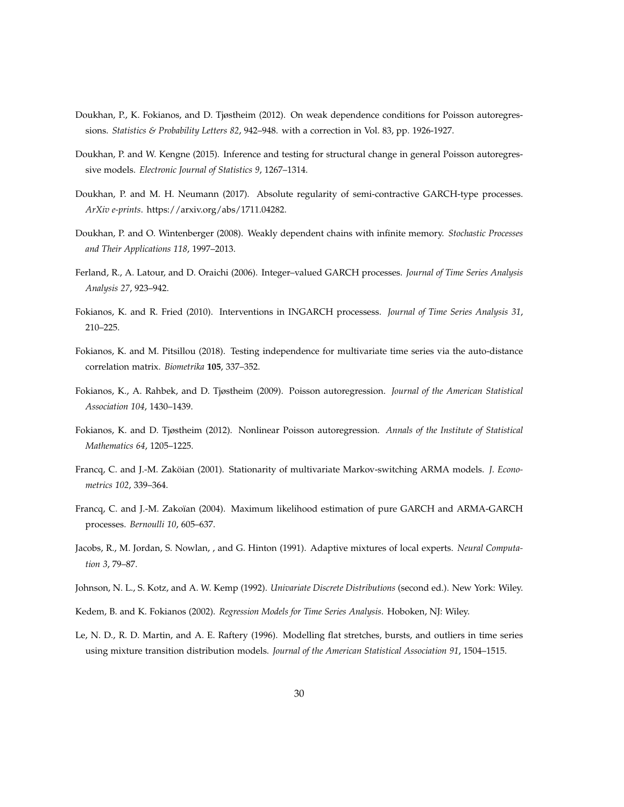- Doukhan, P., K. Fokianos, and D. Tjøstheim (2012). On weak dependence conditions for Poisson autoregressions. *Statistics & Probability Letters 82*, 942–948. with a correction in Vol. 83, pp. 1926-1927.
- Doukhan, P. and W. Kengne (2015). Inference and testing for structural change in general Poisson autoregressive models. *Electronic Journal of Statistics 9*, 1267–1314.
- Doukhan, P. and M. H. Neumann (2017). Absolute regularity of semi-contractive GARCH-type processes. *ArXiv e-prints*. https://arxiv.org/abs/1711.04282.
- Doukhan, P. and O. Wintenberger (2008). Weakly dependent chains with infinite memory. *Stochastic Processes and Their Applications 118*, 1997–2013.
- Ferland, R., A. Latour, and D. Oraichi (2006). Integer–valued GARCH processes. *Journal of Time Series Analysis Analysis 27*, 923–942.
- Fokianos, K. and R. Fried (2010). Interventions in INGARCH processess. *Journal of Time Series Analysis 31*, 210–225.
- Fokianos, K. and M. Pitsillou (2018). Testing independence for multivariate time series via the auto-distance correlation matrix. *Biometrika* **105**, 337–352.
- Fokianos, K., A. Rahbek, and D. Tjøstheim (2009). Poisson autoregression. *Journal of the American Statistical Association 104*, 1430–1439.
- Fokianos, K. and D. Tjøstheim (2012). Nonlinear Poisson autoregression. *Annals of the Institute of Statistical Mathematics 64*, 1205–1225.
- Francq, C. and J.-M. Zaköian (2001). Stationarity of multivariate Markov-switching ARMA models. *J. Econometrics 102*, 339–364.
- Francq, C. and J.-M. Zakoïan (2004). Maximum likelihood estimation of pure GARCH and ARMA-GARCH processes. *Bernoulli 10*, 605–637.
- Jacobs, R., M. Jordan, S. Nowlan, , and G. Hinton (1991). Adaptive mixtures of local experts. *Neural Computation 3*, 79–87.
- Johnson, N. L., S. Kotz, and A. W. Kemp (1992). *Univariate Discrete Distributions* (second ed.). New York: Wiley.
- Kedem, B. and K. Fokianos (2002). *Regression Models for Time Series Analysis*. Hoboken, NJ: Wiley.
- Le, N. D., R. D. Martin, and A. E. Raftery (1996). Modelling flat stretches, bursts, and outliers in time series using mixture transition distribution models. *Journal of the American Statistical Association 91*, 1504–1515.